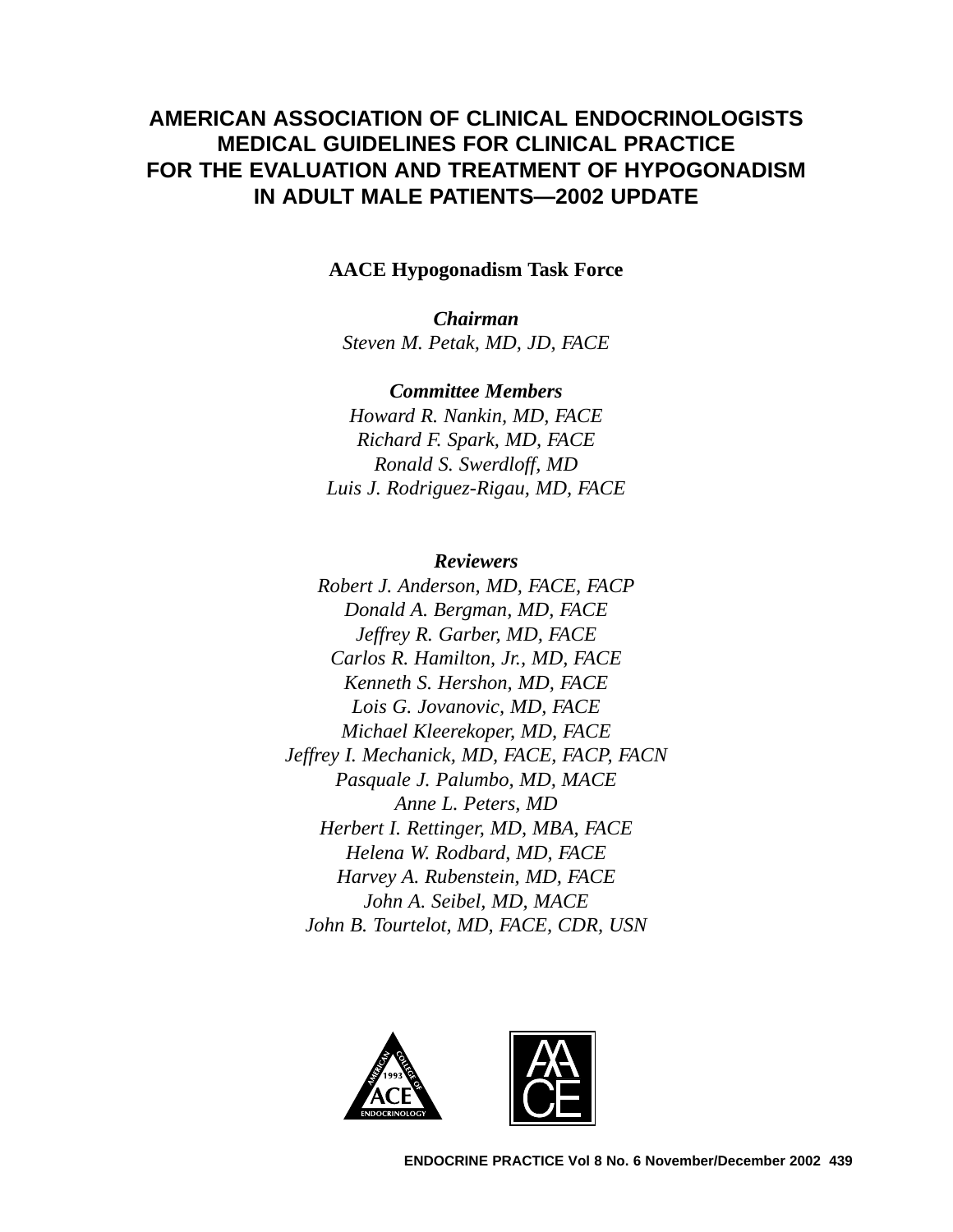# **AMERICAN ASSOCIATION OF CLINICAL ENDOCRINOLOGISTS MEDICAL GUIDELINES FOR CLINICAL PRACTICE FOR THE EVALUATION AND TREATMENT OF HYPOGONADISM IN ADULT MALE PATIENTS—2002 UPDATE**

# **AACE Hypogonadism Task Force**

*Chairman Steven M. Petak, MD, JD, FACE*

*Committee Members Howard R. Nankin, MD, FACE Richard F. Spark, MD, FACE Ronald S. Swerdloff, MD Luis J. Rodriguez-Rigau, MD, FACE*

## *Reviewers*

*Robert J. Anderson, MD, FACE, FACP Donald A. Bergman, MD, FACE Jeffrey R. Garber, MD, FACE Carlos R. Hamilton, Jr., MD, FACE Kenneth S. Hershon, MD, FACE Lois G. Jovanovic, MD, FACE Michael Kleerekoper, MD, FACE Jeffrey I. Mechanick, MD, FACE, FACP, FACN Pasquale J. Palumbo, MD, MACE Anne L. Peters, MD Herbert I. Rettinger, MD, MBA, FACE Helena W. Rodbard, MD, FACE Harvey A. Rubenstein, MD, FACE John A. Seibel, MD, MACE John B. Tourtelot, MD, FACE, CDR, USN*

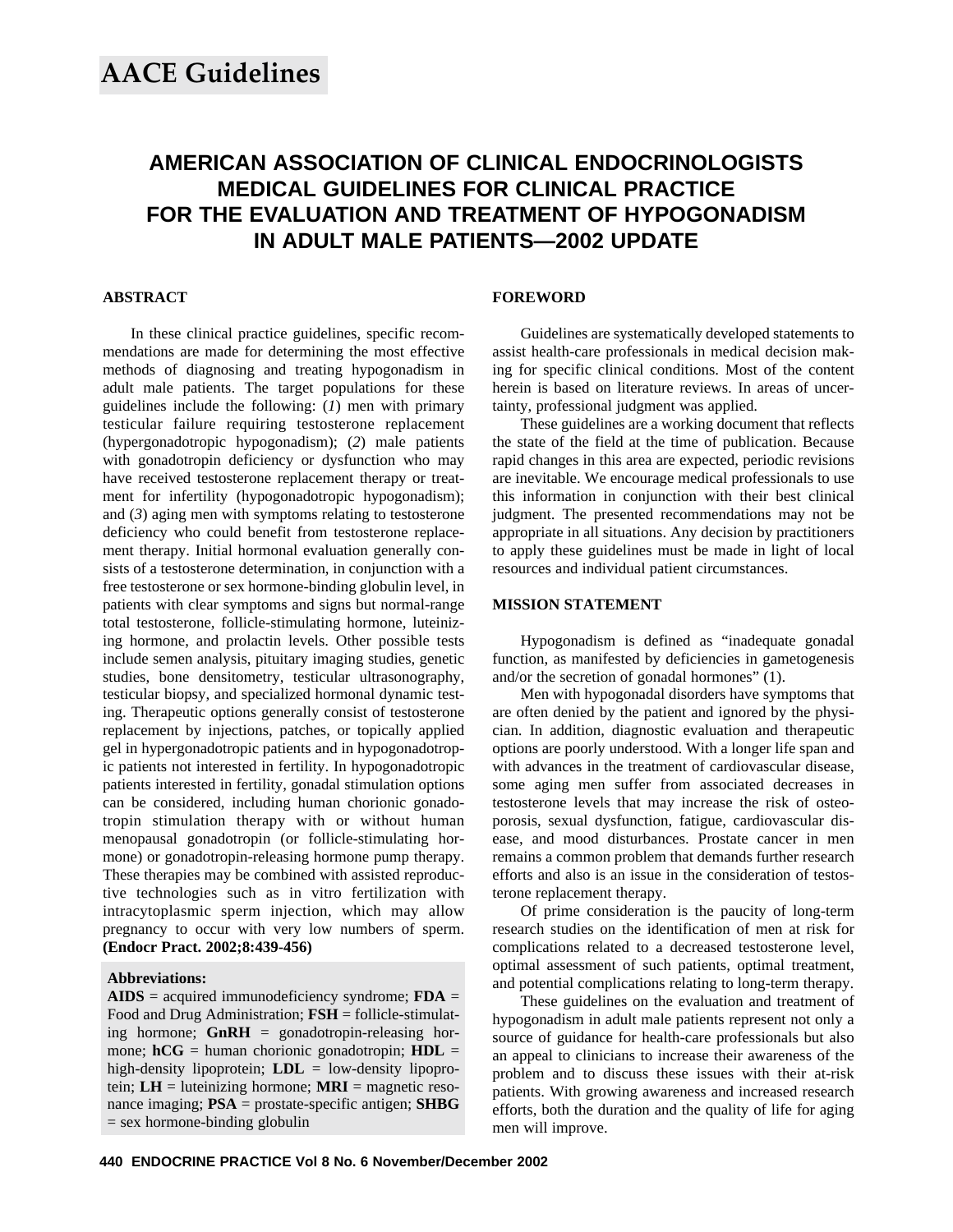# **AMERICAN ASSOCIATION OF CLINICAL ENDOCRINOLOGISTS MEDICAL GUIDELINES FOR CLINICAL PRACTICE FOR THE EVALUATION AND TREATMENT OF HYPOGONADISM IN ADULT MALE PATIENTS—2002 UPDATE**

## **ABSTRACT**

In these clinical practice guidelines, specific recommendations are made for determining the most effective methods of diagnosing and treating hypogonadism in adult male patients. The target populations for these guidelines include the following: (*1*) men with primary testicular failure requiring testosterone replacement (hypergonadotropic hypogonadism); (*2*) male patients with gonadotropin deficiency or dysfunction who may have received testosterone replacement therapy or treatment for infertility (hypogonadotropic hypogonadism); and (*3*) aging men with symptoms relating to testosterone deficiency who could benefit from testosterone replacement therapy. Initial hormonal evaluation generally consists of a testosterone determination, in conjunction with a free testosterone or sex hormone-binding globulin level, in patients with clear symptoms and signs but normal-range total testosterone, follicle-stimulating hormone, luteinizing hormone, and prolactin levels. Other possible tests include semen analysis, pituitary imaging studies, genetic studies, bone densitometry, testicular ultrasonography, testicular biopsy, and specialized hormonal dynamic testing. Therapeutic options generally consist of testosterone replacement by injections, patches, or topically applied gel in hypergonadotropic patients and in hypogonadotropic patients not interested in fertility. In hypogonadotropic patients interested in fertility, gonadal stimulation options can be considered, including human chorionic gonadotropin stimulation therapy with or without human menopausal gonadotropin (or follicle-stimulating hormone) or gonadotropin-releasing hormone pump therapy. These therapies may be combined with assisted reproductive technologies such as in vitro fertilization with intracytoplasmic sperm injection, which may allow pregnancy to occur with very low numbers of sperm. **(Endocr Pract. 2002;8:439-456)**

## **Abbreviations:**

**AIDS** = acquired immunodeficiency syndrome; **FDA** = Food and Drug Administration; **FSH** = follicle-stimulating hormone; **GnRH** = gonadotropin-releasing hormone; **hCG** = human chorionic gonadotropin; **HDL** = high-density lipoprotein; **LDL** = low-density lipoprotein; **LH** = luteinizing hormone; **MRI** = magnetic resonance imaging; **PSA** = prostate-specific antigen; **SHBG**  $=$  sex hormone-binding globulin

## **FOREWORD**

Guidelines are systematically developed statements to assist health-care professionals in medical decision making for specific clinical conditions. Most of the content herein is based on literature reviews. In areas of uncertainty, professional judgment was applied.

These guidelines are a working document that reflects the state of the field at the time of publication. Because rapid changes in this area are expected, periodic revisions are inevitable. We encourage medical professionals to use this information in conjunction with their best clinical judgment. The presented recommendations may not be appropriate in all situations. Any decision by practitioners to apply these guidelines must be made in light of local resources and individual patient circumstances.

## **MISSION STATEMENT**

Hypogonadism is defined as "inadequate gonadal function, as manifested by deficiencies in gametogenesis and/or the secretion of gonadal hormones" (1).

Men with hypogonadal disorders have symptoms that are often denied by the patient and ignored by the physician. In addition, diagnostic evaluation and therapeutic options are poorly understood. With a longer life span and with advances in the treatment of cardiovascular disease, some aging men suffer from associated decreases in testosterone levels that may increase the risk of osteoporosis, sexual dysfunction, fatigue, cardiovascular disease, and mood disturbances. Prostate cancer in men remains a common problem that demands further research efforts and also is an issue in the consideration of testosterone replacement therapy.

Of prime consideration is the paucity of long-term research studies on the identification of men at risk for complications related to a decreased testosterone level, optimal assessment of such patients, optimal treatment, and potential complications relating to long-term therapy.

These guidelines on the evaluation and treatment of hypogonadism in adult male patients represent not only a source of guidance for health-care professionals but also an appeal to clinicians to increase their awareness of the problem and to discuss these issues with their at-risk patients. With growing awareness and increased research efforts, both the duration and the quality of life for aging men will improve.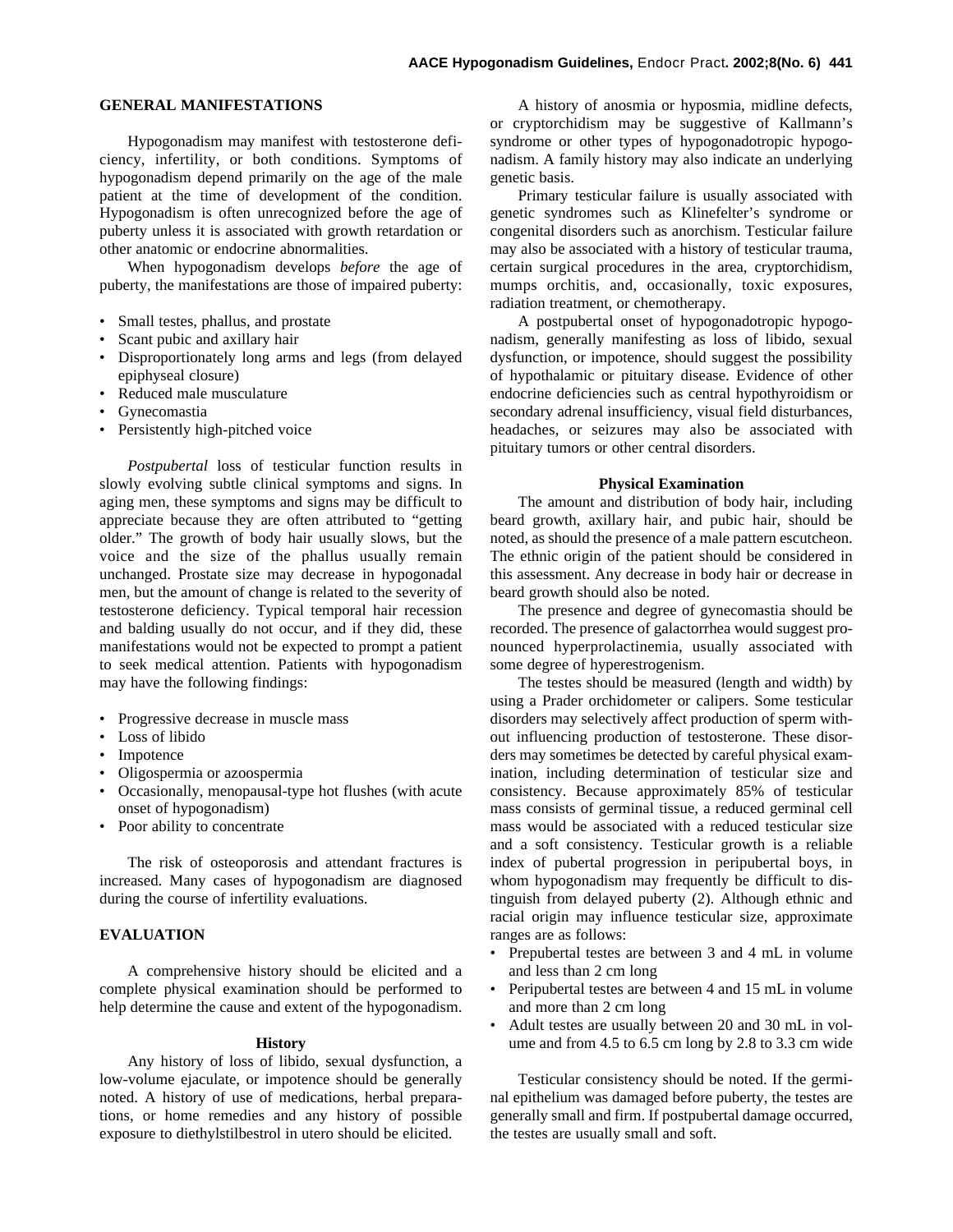## **GENERAL MANIFESTATIONS**

Hypogonadism may manifest with testosterone deficiency, infertility, or both conditions. Symptoms of hypogonadism depend primarily on the age of the male patient at the time of development of the condition. Hypogonadism is often unrecognized before the age of puberty unless it is associated with growth retardation or other anatomic or endocrine abnormalities.

When hypogonadism develops *before* the age of puberty, the manifestations are those of impaired puberty:

- Small testes, phallus, and prostate
- Scant pubic and axillary hair
- Disproportionately long arms and legs (from delayed epiphyseal closure)
- Reduced male musculature
- Gynecomastia
- Persistently high-pitched voice

*Postpubertal* loss of testicular function results in slowly evolving subtle clinical symptoms and signs. In aging men, these symptoms and signs may be difficult to appreciate because they are often attributed to "getting older." The growth of body hair usually slows, but the voice and the size of the phallus usually remain unchanged. Prostate size may decrease in hypogonadal men, but the amount of change is related to the severity of testosterone deficiency. Typical temporal hair recession and balding usually do not occur, and if they did, these manifestations would not be expected to prompt a patient to seek medical attention. Patients with hypogonadism may have the following findings:

- Progressive decrease in muscle mass
- Loss of libido
- Impotence
- Oligospermia or azoospermia
- Occasionally, menopausal-type hot flushes (with acute onset of hypogonadism)
- Poor ability to concentrate

The risk of osteoporosis and attendant fractures is increased. Many cases of hypogonadism are diagnosed during the course of infertility evaluations.

## **EVALUATION**

A comprehensive history should be elicited and a complete physical examination should be performed to help determine the cause and extent of the hypogonadism.

#### **History**

Any history of loss of libido, sexual dysfunction, a low-volume ejaculate, or impotence should be generally noted. A history of use of medications, herbal preparations, or home remedies and any history of possible exposure to diethylstilbestrol in utero should be elicited.

A history of anosmia or hyposmia, midline defects, or cryptorchidism may be suggestive of Kallmann's syndrome or other types of hypogonadotropic hypogonadism. A family history may also indicate an underlying genetic basis.

Primary testicular failure is usually associated with genetic syndromes such as Klinefelter's syndrome or congenital disorders such as anorchism. Testicular failure may also be associated with a history of testicular trauma, certain surgical procedures in the area, cryptorchidism, mumps orchitis, and, occasionally, toxic exposures, radiation treatment, or chemotherapy.

A postpubertal onset of hypogonadotropic hypogonadism, generally manifesting as loss of libido, sexual dysfunction, or impotence, should suggest the possibility of hypothalamic or pituitary disease. Evidence of other endocrine deficiencies such as central hypothyroidism or secondary adrenal insufficiency, visual field disturbances, headaches, or seizures may also be associated with pituitary tumors or other central disorders.

#### **Physical Examination**

The amount and distribution of body hair, including beard growth, axillary hair, and pubic hair, should be noted, as should the presence of a male pattern escutcheon. The ethnic origin of the patient should be considered in this assessment. Any decrease in body hair or decrease in beard growth should also be noted.

The presence and degree of gynecomastia should be recorded. The presence of galactorrhea would suggest pronounced hyperprolactinemia, usually associated with some degree of hyperestrogenism.

The testes should be measured (length and width) by using a Prader orchidometer or calipers. Some testicular disorders may selectively affect production of sperm without influencing production of testosterone. These disorders may sometimes be detected by careful physical examination, including determination of testicular size and consistency. Because approximately 85% of testicular mass consists of germinal tissue, a reduced germinal cell mass would be associated with a reduced testicular size and a soft consistency. Testicular growth is a reliable index of pubertal progression in peripubertal boys, in whom hypogonadism may frequently be difficult to distinguish from delayed puberty (2). Although ethnic and racial origin may influence testicular size, approximate ranges are as follows:

- Prepubertal testes are between 3 and 4 mL in volume and less than 2 cm long
- Peripubertal testes are between 4 and 15 mL in volume and more than 2 cm long
- Adult testes are usually between 20 and 30 mL in volume and from 4.5 to 6.5 cm long by 2.8 to 3.3 cm wide

Testicular consistency should be noted. If the germinal epithelium was damaged before puberty, the testes are generally small and firm. If postpubertal damage occurred, the testes are usually small and soft.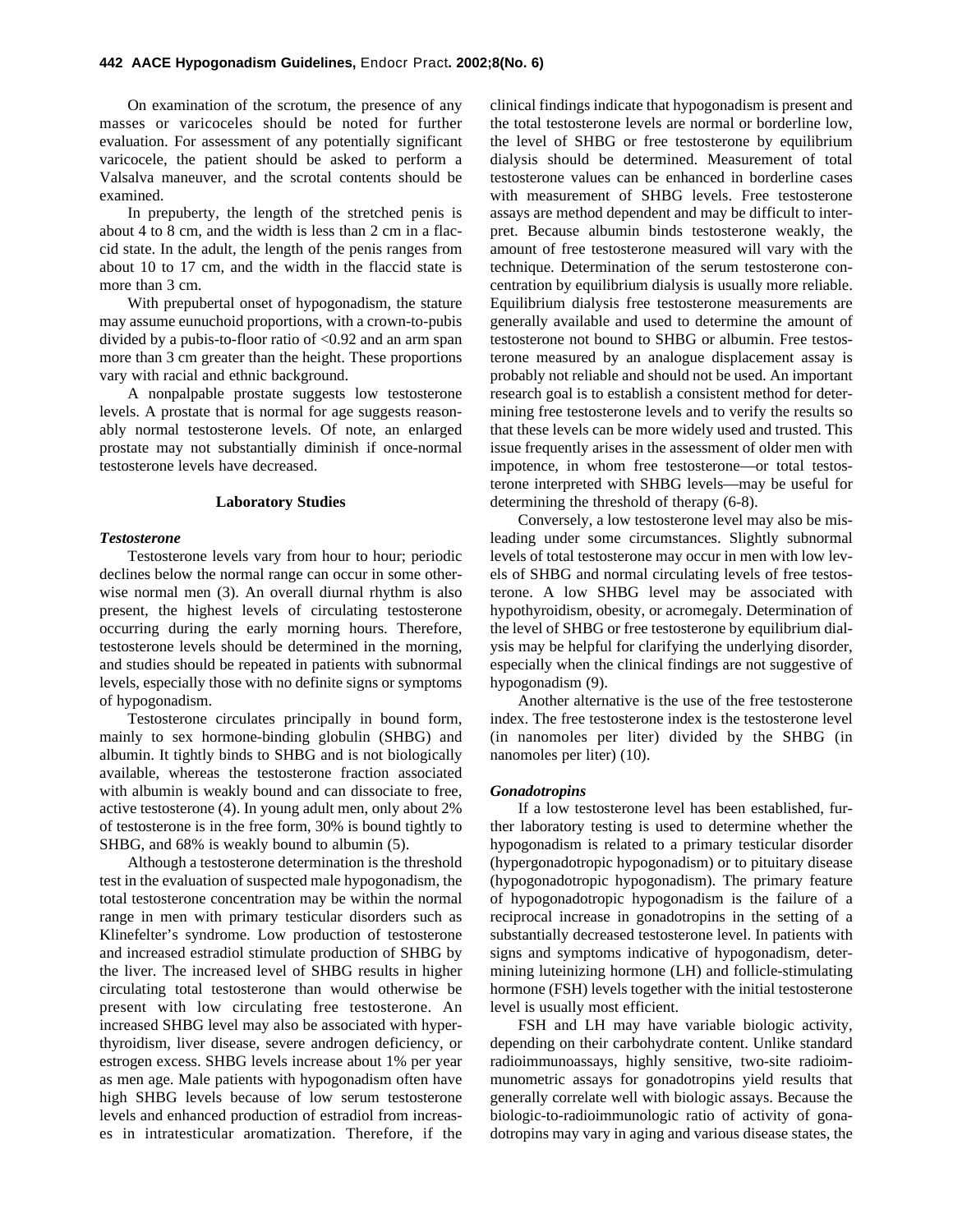On examination of the scrotum, the presence of any masses or varicoceles should be noted for further evaluation. For assessment of any potentially significant varicocele, the patient should be asked to perform a Valsalva maneuver, and the scrotal contents should be examined.

In prepuberty, the length of the stretched penis is about 4 to 8 cm, and the width is less than 2 cm in a flaccid state. In the adult, the length of the penis ranges from about 10 to 17 cm, and the width in the flaccid state is more than 3 cm.

With prepubertal onset of hypogonadism, the stature may assume eunuchoid proportions, with a crown-to-pubis divided by a pubis-to-floor ratio of <0.92 and an arm span more than 3 cm greater than the height. These proportions vary with racial and ethnic background.

A nonpalpable prostate suggests low testosterone levels. A prostate that is normal for age suggests reasonably normal testosterone levels. Of note, an enlarged prostate may not substantially diminish if once-normal testosterone levels have decreased.

### **Laboratory Studies**

#### *Testosterone*

Testosterone levels vary from hour to hour; periodic declines below the normal range can occur in some otherwise normal men (3). An overall diurnal rhythm is also present, the highest levels of circulating testosterone occurring during the early morning hours. Therefore, testosterone levels should be determined in the morning, and studies should be repeated in patients with subnormal levels, especially those with no definite signs or symptoms of hypogonadism.

Testosterone circulates principally in bound form, mainly to sex hormone-binding globulin (SHBG) and albumin. It tightly binds to SHBG and is not biologically available, whereas the testosterone fraction associated with albumin is weakly bound and can dissociate to free, active testosterone (4). In young adult men, only about 2% of testosterone is in the free form, 30% is bound tightly to SHBG, and 68% is weakly bound to albumin (5).

Although a testosterone determination is the threshold test in the evaluation of suspected male hypogonadism, the total testosterone concentration may be within the normal range in men with primary testicular disorders such as Klinefelter's syndrome. Low production of testosterone and increased estradiol stimulate production of SHBG by the liver. The increased level of SHBG results in higher circulating total testosterone than would otherwise be present with low circulating free testosterone. An increased SHBG level may also be associated with hyperthyroidism, liver disease, severe androgen deficiency, or estrogen excess. SHBG levels increase about 1% per year as men age. Male patients with hypogonadism often have high SHBG levels because of low serum testosterone levels and enhanced production of estradiol from increases in intratesticular aromatization. Therefore, if the

clinical findings indicate that hypogonadism is present and the total testosterone levels are normal or borderline low, the level of SHBG or free testosterone by equilibrium dialysis should be determined. Measurement of total testosterone values can be enhanced in borderline cases with measurement of SHBG levels. Free testosterone assays are method dependent and may be difficult to interpret. Because albumin binds testosterone weakly, the amount of free testosterone measured will vary with the technique. Determination of the serum testosterone concentration by equilibrium dialysis is usually more reliable. Equilibrium dialysis free testosterone measurements are generally available and used to determine the amount of testosterone not bound to SHBG or albumin. Free testosterone measured by an analogue displacement assay is probably not reliable and should not be used. An important research goal is to establish a consistent method for determining free testosterone levels and to verify the results so that these levels can be more widely used and trusted. This issue frequently arises in the assessment of older men with impotence, in whom free testosterone—or total testosterone interpreted with SHBG levels—may be useful for determining the threshold of therapy (6-8).

Conversely, a low testosterone level may also be misleading under some circumstances. Slightly subnormal levels of total testosterone may occur in men with low levels of SHBG and normal circulating levels of free testosterone. A low SHBG level may be associated with hypothyroidism, obesity, or acromegaly. Determination of the level of SHBG or free testosterone by equilibrium dialysis may be helpful for clarifying the underlying disorder, especially when the clinical findings are not suggestive of hypogonadism (9).

Another alternative is the use of the free testosterone index. The free testosterone index is the testosterone level (in nanomoles per liter) divided by the SHBG (in nanomoles per liter) (10).

#### *Gonadotropins*

If a low testosterone level has been established, further laboratory testing is used to determine whether the hypogonadism is related to a primary testicular disorder (hypergonadotropic hypogonadism) or to pituitary disease (hypogonadotropic hypogonadism). The primary feature of hypogonadotropic hypogonadism is the failure of a reciprocal increase in gonadotropins in the setting of a substantially decreased testosterone level. In patients with signs and symptoms indicative of hypogonadism, determining luteinizing hormone (LH) and follicle-stimulating hormone (FSH) levels together with the initial testosterone level is usually most efficient.

FSH and LH may have variable biologic activity, depending on their carbohydrate content. Unlike standard radioimmunoassays, highly sensitive, two-site radioimmunometric assays for gonadotropins yield results that generally correlate well with biologic assays. Because the biologic-to-radioimmunologic ratio of activity of gonadotropins may vary in aging and various disease states, the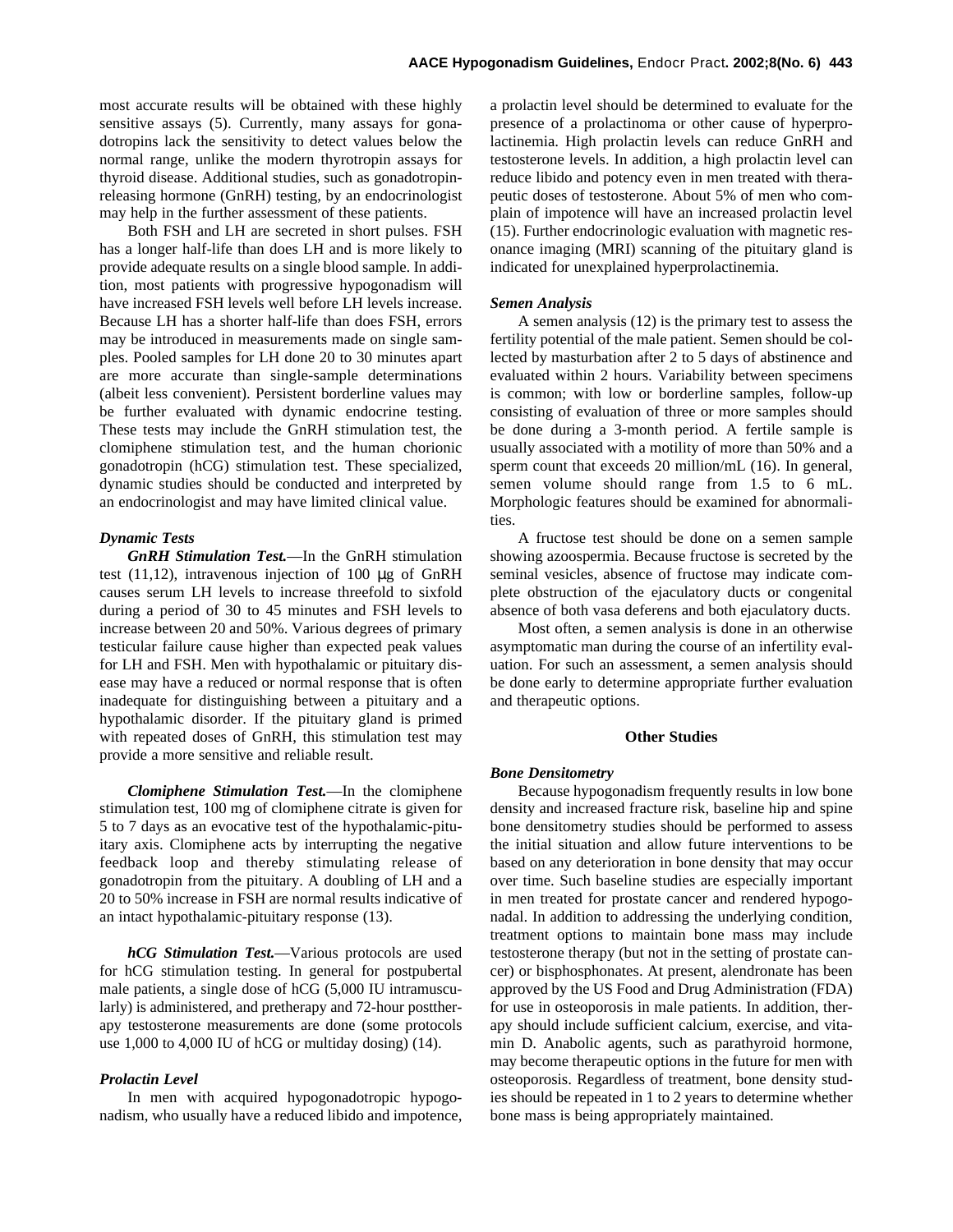most accurate results will be obtained with these highly sensitive assays (5). Currently, many assays for gonadotropins lack the sensitivity to detect values below the normal range, unlike the modern thyrotropin assays for thyroid disease. Additional studies, such as gonadotropinreleasing hormone (GnRH) testing, by an endocrinologist may help in the further assessment of these patients.

Both FSH and LH are secreted in short pulses. FSH has a longer half-life than does LH and is more likely to provide adequate results on a single blood sample. In addition, most patients with progressive hypogonadism will have increased FSH levels well before LH levels increase. Because LH has a shorter half-life than does FSH, errors may be introduced in measurements made on single samples. Pooled samples for LH done 20 to 30 minutes apart are more accurate than single-sample determinations (albeit less convenient). Persistent borderline values may be further evaluated with dynamic endocrine testing. These tests may include the GnRH stimulation test, the clomiphene stimulation test, and the human chorionic gonadotropin (hCG) stimulation test. These specialized, dynamic studies should be conducted and interpreted by an endocrinologist and may have limited clinical value.

## *Dynamic Tests*

*GnRH Stimulation Test.*—In the GnRH stimulation test  $(11,12)$ , intravenous injection of 100  $\mu$ g of GnRH causes serum LH levels to increase threefold to sixfold during a period of 30 to 45 minutes and FSH levels to increase between 20 and 50%. Various degrees of primary testicular failure cause higher than expected peak values for LH and FSH. Men with hypothalamic or pituitary disease may have a reduced or normal response that is often inadequate for distinguishing between a pituitary and a hypothalamic disorder. If the pituitary gland is primed with repeated doses of GnRH, this stimulation test may provide a more sensitive and reliable result.

*Clomiphene Stimulation Test.*—In the clomiphene stimulation test, 100 mg of clomiphene citrate is given for 5 to 7 days as an evocative test of the hypothalamic-pituitary axis. Clomiphene acts by interrupting the negative feedback loop and thereby stimulating release of gonadotropin from the pituitary. A doubling of LH and a 20 to 50% increase in FSH are normal results indicative of an intact hypothalamic-pituitary response (13).

*hCG Stimulation Test.*—Various protocols are used for hCG stimulation testing. In general for postpubertal male patients, a single dose of hCG (5,000 IU intramuscularly) is administered, and pretherapy and 72-hour posttherapy testosterone measurements are done (some protocols use 1,000 to 4,000 IU of hCG or multiday dosing) (14).

#### *Prolactin Level*

In men with acquired hypogonadotropic hypogonadism, who usually have a reduced libido and impotence, a prolactin level should be determined to evaluate for the presence of a prolactinoma or other cause of hyperprolactinemia. High prolactin levels can reduce GnRH and testosterone levels. In addition, a high prolactin level can reduce libido and potency even in men treated with therapeutic doses of testosterone. About 5% of men who complain of impotence will have an increased prolactin level (15). Further endocrinologic evaluation with magnetic resonance imaging (MRI) scanning of the pituitary gland is indicated for unexplained hyperprolactinemia.

#### *Semen Analysis*

A semen analysis (12) is the primary test to assess the fertility potential of the male patient. Semen should be collected by masturbation after 2 to 5 days of abstinence and evaluated within 2 hours. Variability between specimens is common; with low or borderline samples, follow-up consisting of evaluation of three or more samples should be done during a 3-month period. A fertile sample is usually associated with a motility of more than 50% and a sperm count that exceeds 20 million/mL (16). In general, semen volume should range from 1.5 to 6 mL. Morphologic features should be examined for abnormalities.

A fructose test should be done on a semen sample showing azoospermia. Because fructose is secreted by the seminal vesicles, absence of fructose may indicate complete obstruction of the ejaculatory ducts or congenital absence of both vasa deferens and both ejaculatory ducts.

Most often, a semen analysis is done in an otherwise asymptomatic man during the course of an infertility evaluation. For such an assessment, a semen analysis should be done early to determine appropriate further evaluation and therapeutic options.

## **Other Studies**

#### *Bone Densitometry*

Because hypogonadism frequently results in low bone density and increased fracture risk, baseline hip and spine bone densitometry studies should be performed to assess the initial situation and allow future interventions to be based on any deterioration in bone density that may occur over time. Such baseline studies are especially important in men treated for prostate cancer and rendered hypogonadal. In addition to addressing the underlying condition, treatment options to maintain bone mass may include testosterone therapy (but not in the setting of prostate cancer) or bisphosphonates. At present, alendronate has been approved by the US Food and Drug Administration (FDA) for use in osteoporosis in male patients. In addition, therapy should include sufficient calcium, exercise, and vitamin D. Anabolic agents, such as parathyroid hormone, may become therapeutic options in the future for men with osteoporosis. Regardless of treatment, bone density studies should be repeated in 1 to 2 years to determine whether bone mass is being appropriately maintained.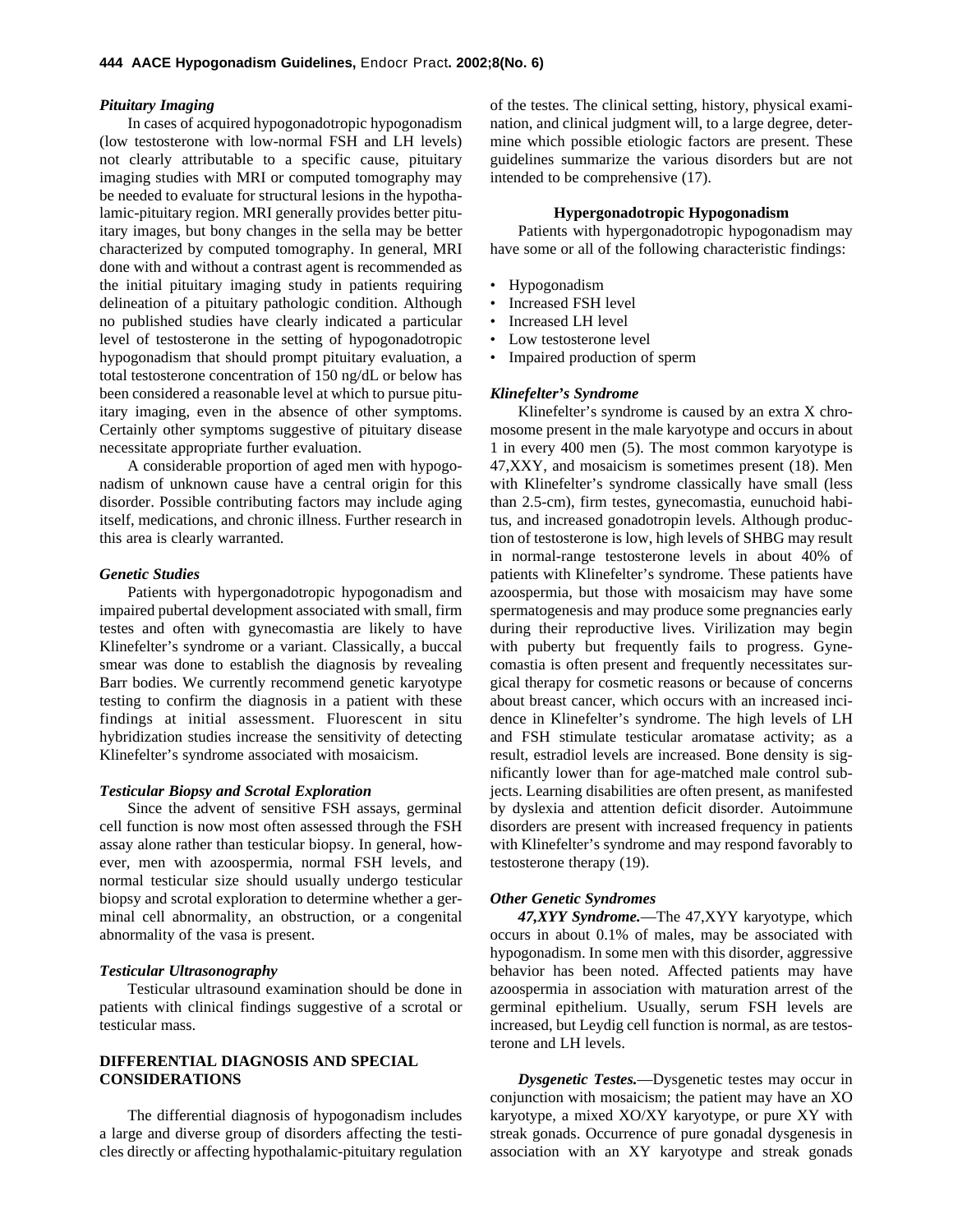#### *Pituitary Imaging*

In cases of acquired hypogonadotropic hypogonadism (low testosterone with low-normal FSH and LH levels) not clearly attributable to a specific cause, pituitary imaging studies with MRI or computed tomography may be needed to evaluate for structural lesions in the hypothalamic-pituitary region. MRI generally provides better pituitary images, but bony changes in the sella may be better characterized by computed tomography. In general, MRI done with and without a contrast agent is recommended as the initial pituitary imaging study in patients requiring delineation of a pituitary pathologic condition. Although no published studies have clearly indicated a particular level of testosterone in the setting of hypogonadotropic hypogonadism that should prompt pituitary evaluation, a total testosterone concentration of 150 ng/dL or below has been considered a reasonable level at which to pursue pituitary imaging, even in the absence of other symptoms. Certainly other symptoms suggestive of pituitary disease necessitate appropriate further evaluation.

A considerable proportion of aged men with hypogonadism of unknown cause have a central origin for this disorder. Possible contributing factors may include aging itself, medications, and chronic illness. Further research in this area is clearly warranted.

#### *Genetic Studies*

Patients with hypergonadotropic hypogonadism and impaired pubertal development associated with small, firm testes and often with gynecomastia are likely to have Klinefelter's syndrome or a variant. Classically, a buccal smear was done to establish the diagnosis by revealing Barr bodies. We currently recommend genetic karyotype testing to confirm the diagnosis in a patient with these findings at initial assessment. Fluorescent in situ hybridization studies increase the sensitivity of detecting Klinefelter's syndrome associated with mosaicism.

#### *Testicular Biopsy and Scrotal Exploration*

Since the advent of sensitive FSH assays, germinal cell function is now most often assessed through the FSH assay alone rather than testicular biopsy. In general, however, men with azoospermia, normal FSH levels, and normal testicular size should usually undergo testicular biopsy and scrotal exploration to determine whether a germinal cell abnormality, an obstruction, or a congenital abnormality of the vasa is present.

#### *Testicular Ultrasonography*

Testicular ultrasound examination should be done in patients with clinical findings suggestive of a scrotal or testicular mass.

## **DIFFERENTIAL DIAGNOSIS AND SPECIAL CONSIDERATIONS**

The differential diagnosis of hypogonadism includes a large and diverse group of disorders affecting the testicles directly or affecting hypothalamic-pituitary regulation of the testes. The clinical setting, history, physical examination, and clinical judgment will, to a large degree, determine which possible etiologic factors are present. These guidelines summarize the various disorders but are not intended to be comprehensive (17).

## **Hypergonadotropic Hypogonadism**

Patients with hypergonadotropic hypogonadism may have some or all of the following characteristic findings:

- Hypogonadism
- Increased FSH level
- Increased LH level
- Low testosterone level
- Impaired production of sperm

## *Klinefelter's Syndrome*

Klinefelter's syndrome is caused by an extra X chromosome present in the male karyotype and occurs in about 1 in every 400 men (5). The most common karyotype is 47,XXY, and mosaicism is sometimes present (18). Men with Klinefelter's syndrome classically have small (less than 2.5-cm), firm testes, gynecomastia, eunuchoid habitus, and increased gonadotropin levels. Although production of testosterone is low, high levels of SHBG may result in normal-range testosterone levels in about 40% of patients with Klinefelter's syndrome. These patients have azoospermia, but those with mosaicism may have some spermatogenesis and may produce some pregnancies early during their reproductive lives. Virilization may begin with puberty but frequently fails to progress. Gynecomastia is often present and frequently necessitates surgical therapy for cosmetic reasons or because of concerns about breast cancer, which occurs with an increased incidence in Klinefelter's syndrome. The high levels of LH and FSH stimulate testicular aromatase activity; as a result, estradiol levels are increased. Bone density is significantly lower than for age-matched male control subjects. Learning disabilities are often present, as manifested by dyslexia and attention deficit disorder. Autoimmune disorders are present with increased frequency in patients with Klinefelter's syndrome and may respond favorably to testosterone therapy (19).

#### *Other Genetic Syndromes*

*47,XYY Syndrome.*—The 47,XYY karyotype, which occurs in about 0.1% of males, may be associated with hypogonadism. In some men with this disorder, aggressive behavior has been noted. Affected patients may have azoospermia in association with maturation arrest of the germinal epithelium. Usually, serum FSH levels are increased, but Leydig cell function is normal, as are testosterone and LH levels.

*Dysgenetic Testes.*—Dysgenetic testes may occur in conjunction with mosaicism; the patient may have an XO karyotype, a mixed XO/XY karyotype, or pure XY with streak gonads. Occurrence of pure gonadal dysgenesis in association with an XY karyotype and streak gonads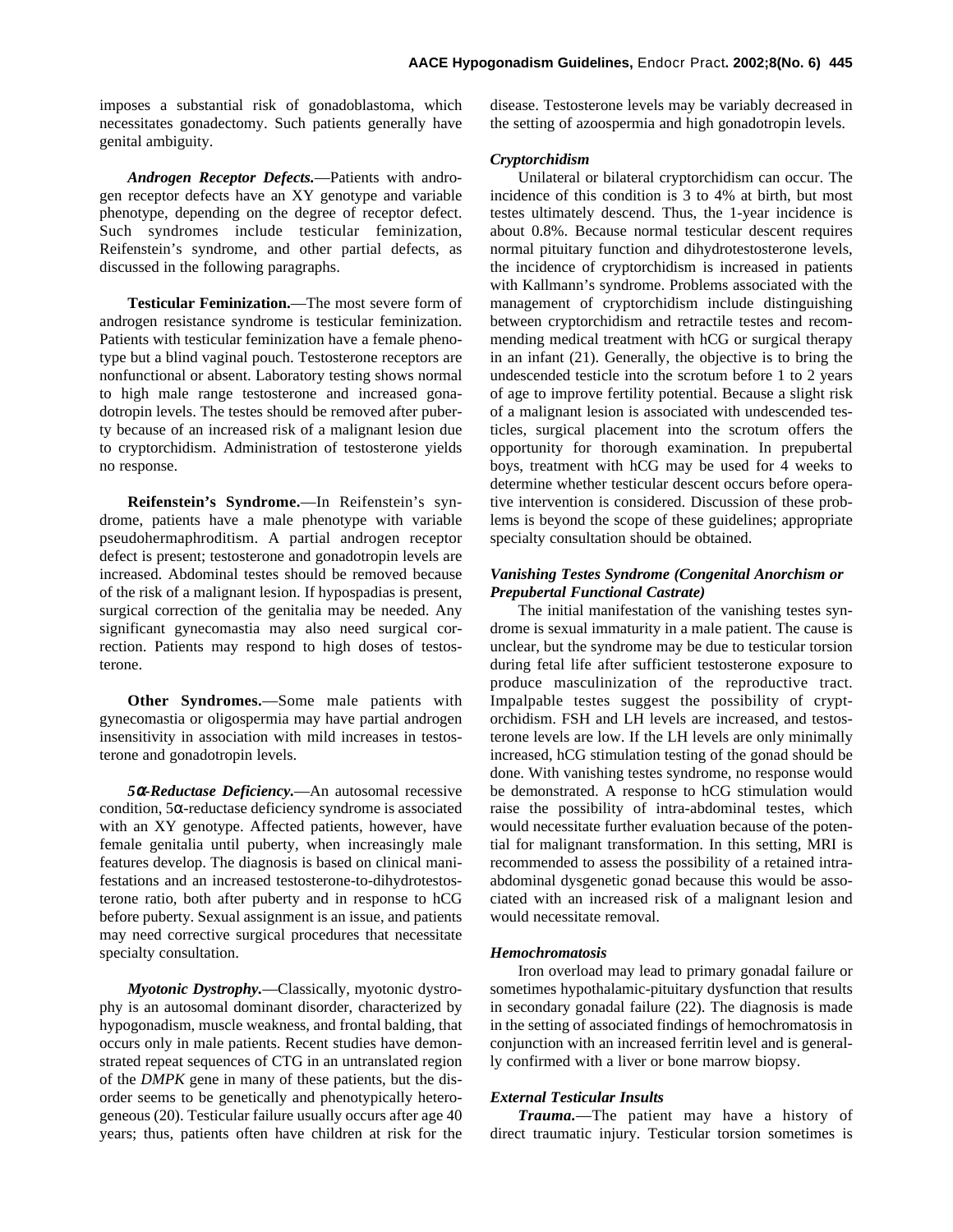imposes a substantial risk of gonadoblastoma, which necessitates gonadectomy. Such patients generally have genital ambiguity.

*Androgen Receptor Defects.*—Patients with androgen receptor defects have an XY genotype and variable phenotype, depending on the degree of receptor defect. Such syndromes include testicular feminization, Reifenstein's syndrome, and other partial defects, as discussed in the following paragraphs.

**Testicular Feminization.**—The most severe form of androgen resistance syndrome is testicular feminization. Patients with testicular feminization have a female phenotype but a blind vaginal pouch. Testosterone receptors are nonfunctional or absent. Laboratory testing shows normal to high male range testosterone and increased gonadotropin levels. The testes should be removed after puberty because of an increased risk of a malignant lesion due to cryptorchidism. Administration of testosterone yields no response.

**Reifenstein's Syndrome.**—In Reifenstein's syndrome, patients have a male phenotype with variable pseudohermaphroditism. A partial androgen receptor defect is present; testosterone and gonadotropin levels are increased. Abdominal testes should be removed because of the risk of a malignant lesion. If hypospadias is present, surgical correction of the genitalia may be needed. Any significant gynecomastia may also need surgical correction. Patients may respond to high doses of testosterone.

**Other Syndromes.**—Some male patients with gynecomastia or oligospermia may have partial androgen insensitivity in association with mild increases in testosterone and gonadotropin levels.

*5*α*-Reductase Deficiency.*—An autosomal recessive condition,  $5\alpha$ -reductase deficiency syndrome is associated with an XY genotype. Affected patients, however, have female genitalia until puberty, when increasingly male features develop. The diagnosis is based on clinical manifestations and an increased testosterone-to-dihydrotestosterone ratio, both after puberty and in response to hCG before puberty. Sexual assignment is an issue, and patients may need corrective surgical procedures that necessitate specialty consultation.

*Myotonic Dystrophy.*—Classically, myotonic dystrophy is an autosomal dominant disorder, characterized by hypogonadism, muscle weakness, and frontal balding, that occurs only in male patients. Recent studies have demonstrated repeat sequences of CTG in an untranslated region of the *DMPK* gene in many of these patients, but the disorder seems to be genetically and phenotypically heterogeneous (20). Testicular failure usually occurs after age 40 years; thus, patients often have children at risk for the

disease. Testosterone levels may be variably decreased in the setting of azoospermia and high gonadotropin levels.

#### *Cryptorchidism*

Unilateral or bilateral cryptorchidism can occur. The incidence of this condition is 3 to 4% at birth, but most testes ultimately descend. Thus, the 1-year incidence is about 0.8%. Because normal testicular descent requires normal pituitary function and dihydrotestosterone levels, the incidence of cryptorchidism is increased in patients with Kallmann's syndrome. Problems associated with the management of cryptorchidism include distinguishing between cryptorchidism and retractile testes and recommending medical treatment with hCG or surgical therapy in an infant (21). Generally, the objective is to bring the undescended testicle into the scrotum before 1 to 2 years of age to improve fertility potential. Because a slight risk of a malignant lesion is associated with undescended testicles, surgical placement into the scrotum offers the opportunity for thorough examination. In prepubertal boys, treatment with hCG may be used for 4 weeks to determine whether testicular descent occurs before operative intervention is considered. Discussion of these problems is beyond the scope of these guidelines; appropriate specialty consultation should be obtained.

## *Vanishing Testes Syndrome (Congenital Anorchism or Prepubertal Functional Castrate)*

The initial manifestation of the vanishing testes syndrome is sexual immaturity in a male patient. The cause is unclear, but the syndrome may be due to testicular torsion during fetal life after sufficient testosterone exposure to produce masculinization of the reproductive tract. Impalpable testes suggest the possibility of cryptorchidism. FSH and LH levels are increased, and testosterone levels are low. If the LH levels are only minimally increased, hCG stimulation testing of the gonad should be done. With vanishing testes syndrome, no response would be demonstrated. A response to hCG stimulation would raise the possibility of intra-abdominal testes, which would necessitate further evaluation because of the potential for malignant transformation. In this setting, MRI is recommended to assess the possibility of a retained intraabdominal dysgenetic gonad because this would be associated with an increased risk of a malignant lesion and would necessitate removal.

## *Hemochromatosis*

Iron overload may lead to primary gonadal failure or sometimes hypothalamic-pituitary dysfunction that results in secondary gonadal failure (22). The diagnosis is made in the setting of associated findings of hemochromatosis in conjunction with an increased ferritin level and is generally confirmed with a liver or bone marrow biopsy.

## *External Testicular Insults*

*Trauma.*—The patient may have a history of direct traumatic injury. Testicular torsion sometimes is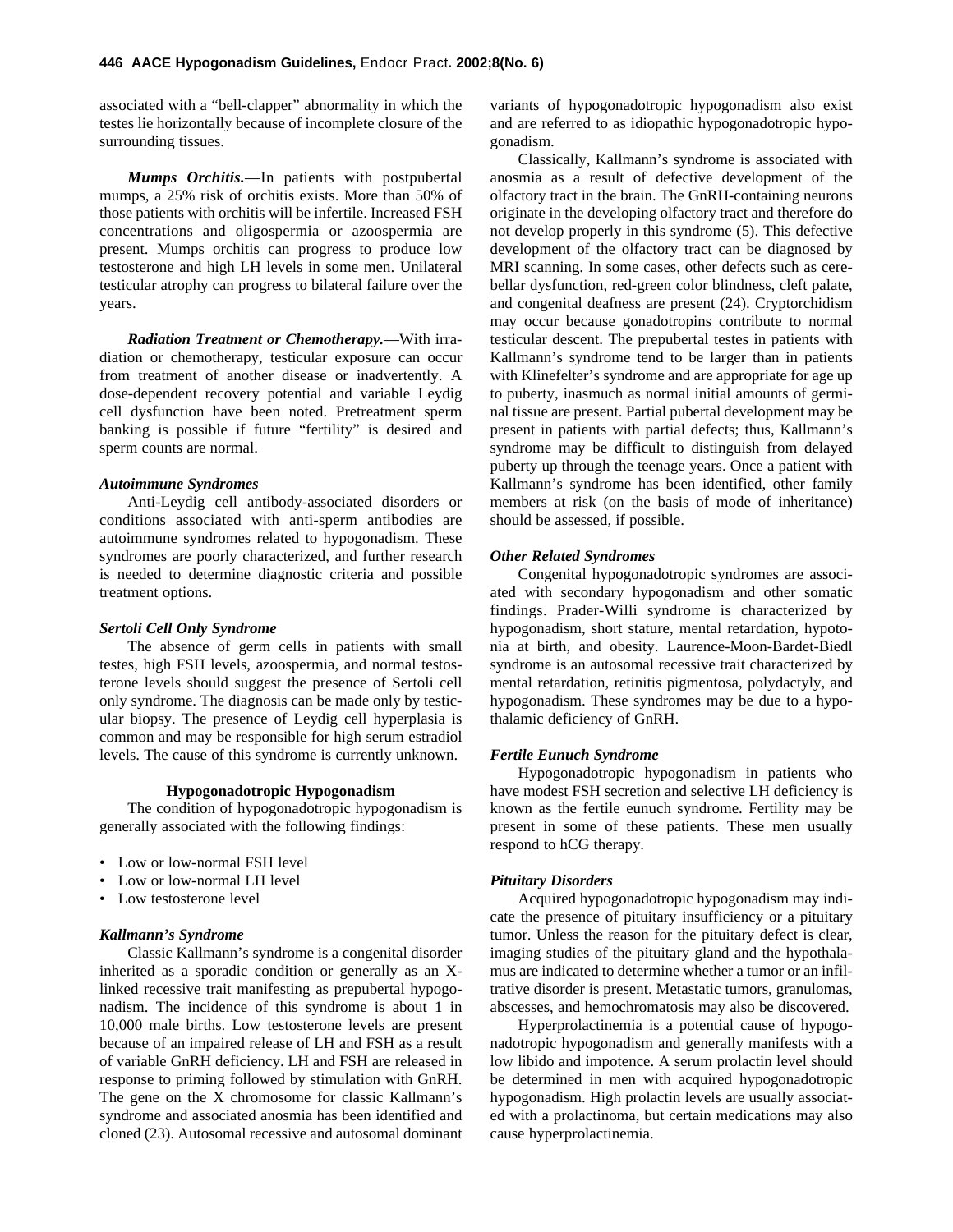associated with a "bell-clapper" abnormality in which the testes lie horizontally because of incomplete closure of the surrounding tissues.

*Mumps Orchitis.*—In patients with postpubertal mumps, a 25% risk of orchitis exists. More than 50% of those patients with orchitis will be infertile. Increased FSH concentrations and oligospermia or azoospermia are present. Mumps orchitis can progress to produce low testosterone and high LH levels in some men. Unilateral testicular atrophy can progress to bilateral failure over the years.

*Radiation Treatment or Chemotherapy.*—With irradiation or chemotherapy, testicular exposure can occur from treatment of another disease or inadvertently. A dose-dependent recovery potential and variable Leydig cell dysfunction have been noted. Pretreatment sperm banking is possible if future "fertility" is desired and sperm counts are normal.

#### *Autoimmune Syndromes*

Anti-Leydig cell antibody-associated disorders or conditions associated with anti-sperm antibodies are autoimmune syndromes related to hypogonadism. These syndromes are poorly characterized, and further research is needed to determine diagnostic criteria and possible treatment options.

### *Sertoli Cell Only Syndrome*

The absence of germ cells in patients with small testes, high FSH levels, azoospermia, and normal testosterone levels should suggest the presence of Sertoli cell only syndrome. The diagnosis can be made only by testicular biopsy. The presence of Leydig cell hyperplasia is common and may be responsible for high serum estradiol levels. The cause of this syndrome is currently unknown.

#### **Hypogonadotropic Hypogonadism**

The condition of hypogonadotropic hypogonadism is generally associated with the following findings:

- Low or low-normal FSH level
- Low or low-normal LH level
- Low testosterone level

## *Kallmann's Syndrome*

Classic Kallmann's syndrome is a congenital disorder inherited as a sporadic condition or generally as an Xlinked recessive trait manifesting as prepubertal hypogonadism. The incidence of this syndrome is about 1 in 10,000 male births. Low testosterone levels are present because of an impaired release of LH and FSH as a result of variable GnRH deficiency. LH and FSH are released in response to priming followed by stimulation with GnRH. The gene on the X chromosome for classic Kallmann's syndrome and associated anosmia has been identified and cloned (23). Autosomal recessive and autosomal dominant

variants of hypogonadotropic hypogonadism also exist and are referred to as idiopathic hypogonadotropic hypogonadism.

Classically, Kallmann's syndrome is associated with anosmia as a result of defective development of the olfactory tract in the brain. The GnRH-containing neurons originate in the developing olfactory tract and therefore do not develop properly in this syndrome (5). This defective development of the olfactory tract can be diagnosed by MRI scanning. In some cases, other defects such as cerebellar dysfunction, red-green color blindness, cleft palate, and congenital deafness are present (24). Cryptorchidism may occur because gonadotropins contribute to normal testicular descent. The prepubertal testes in patients with Kallmann's syndrome tend to be larger than in patients with Klinefelter's syndrome and are appropriate for age up to puberty, inasmuch as normal initial amounts of germinal tissue are present. Partial pubertal development may be present in patients with partial defects; thus, Kallmann's syndrome may be difficult to distinguish from delayed puberty up through the teenage years. Once a patient with Kallmann's syndrome has been identified, other family members at risk (on the basis of mode of inheritance) should be assessed, if possible.

#### *Other Related Syndromes*

Congenital hypogonadotropic syndromes are associated with secondary hypogonadism and other somatic findings. Prader-Willi syndrome is characterized by hypogonadism, short stature, mental retardation, hypotonia at birth, and obesity. Laurence-Moon-Bardet-Biedl syndrome is an autosomal recessive trait characterized by mental retardation, retinitis pigmentosa, polydactyly, and hypogonadism. These syndromes may be due to a hypothalamic deficiency of GnRH.

#### *Fertile Eunuch Syndrome*

Hypogonadotropic hypogonadism in patients who have modest FSH secretion and selective LH deficiency is known as the fertile eunuch syndrome. Fertility may be present in some of these patients. These men usually respond to hCG therapy.

#### *Pituitary Disorders*

Acquired hypogonadotropic hypogonadism may indicate the presence of pituitary insufficiency or a pituitary tumor. Unless the reason for the pituitary defect is clear, imaging studies of the pituitary gland and the hypothalamus are indicated to determine whether a tumor or an infiltrative disorder is present. Metastatic tumors, granulomas, abscesses, and hemochromatosis may also be discovered.

Hyperprolactinemia is a potential cause of hypogonadotropic hypogonadism and generally manifests with a low libido and impotence. A serum prolactin level should be determined in men with acquired hypogonadotropic hypogonadism. High prolactin levels are usually associated with a prolactinoma, but certain medications may also cause hyperprolactinemia.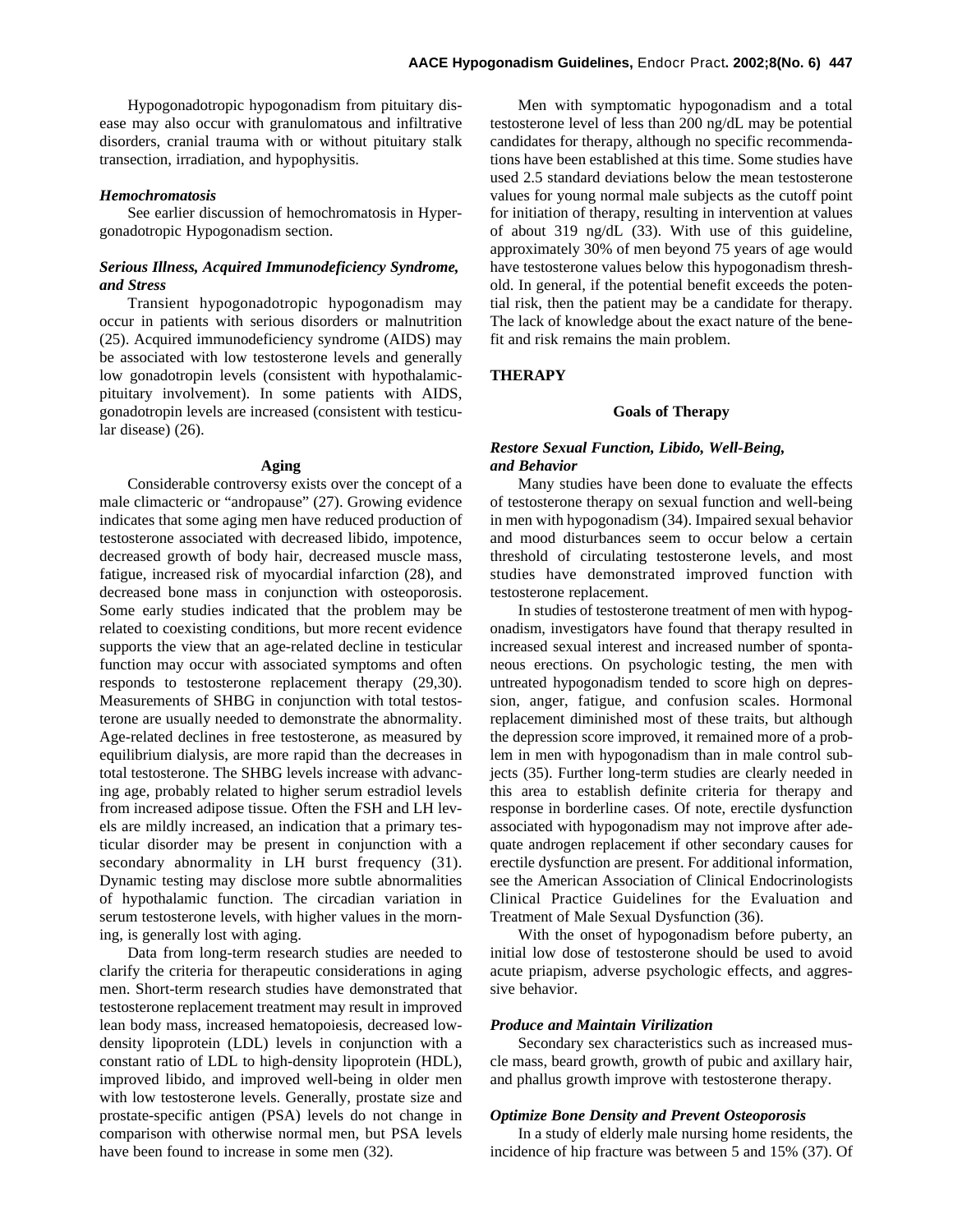Hypogonadotropic hypogonadism from pituitary disease may also occur with granulomatous and infiltrative disorders, cranial trauma with or without pituitary stalk transection, irradiation, and hypophysitis.

#### *Hemochromatosis*

See earlier discussion of hemochromatosis in Hypergonadotropic Hypogonadism section.

## *Serious Illness, Acquired Immunodeficiency Syndrome, and Stress*

Transient hypogonadotropic hypogonadism may occur in patients with serious disorders or malnutrition (25). Acquired immunodeficiency syndrome (AIDS) may be associated with low testosterone levels and generally low gonadotropin levels (consistent with hypothalamicpituitary involvement). In some patients with AIDS, gonadotropin levels are increased (consistent with testicular disease) (26).

#### **Aging**

Considerable controversy exists over the concept of a male climacteric or "andropause" (27). Growing evidence indicates that some aging men have reduced production of testosterone associated with decreased libido, impotence, decreased growth of body hair, decreased muscle mass, fatigue, increased risk of myocardial infarction (28), and decreased bone mass in conjunction with osteoporosis. Some early studies indicated that the problem may be related to coexisting conditions, but more recent evidence supports the view that an age-related decline in testicular function may occur with associated symptoms and often responds to testosterone replacement therapy (29,30). Measurements of SHBG in conjunction with total testosterone are usually needed to demonstrate the abnormality. Age-related declines in free testosterone, as measured by equilibrium dialysis, are more rapid than the decreases in total testosterone. The SHBG levels increase with advancing age, probably related to higher serum estradiol levels from increased adipose tissue. Often the FSH and LH levels are mildly increased, an indication that a primary testicular disorder may be present in conjunction with a secondary abnormality in LH burst frequency (31). Dynamic testing may disclose more subtle abnormalities of hypothalamic function. The circadian variation in serum testosterone levels, with higher values in the morning, is generally lost with aging.

Data from long-term research studies are needed to clarify the criteria for therapeutic considerations in aging men. Short-term research studies have demonstrated that testosterone replacement treatment may result in improved lean body mass, increased hematopoiesis, decreased lowdensity lipoprotein (LDL) levels in conjunction with a constant ratio of LDL to high-density lipoprotein (HDL), improved libido, and improved well-being in older men with low testosterone levels. Generally, prostate size and prostate-specific antigen (PSA) levels do not change in comparison with otherwise normal men, but PSA levels have been found to increase in some men (32).

Men with symptomatic hypogonadism and a total testosterone level of less than 200 ng/dL may be potential candidates for therapy, although no specific recommendations have been established at this time. Some studies have used 2.5 standard deviations below the mean testosterone values for young normal male subjects as the cutoff point for initiation of therapy, resulting in intervention at values of about 319 ng/dL (33). With use of this guideline, approximately 30% of men beyond 75 years of age would have testosterone values below this hypogonadism threshold. In general, if the potential benefit exceeds the potential risk, then the patient may be a candidate for therapy. The lack of knowledge about the exact nature of the benefit and risk remains the main problem.

## **THERAPY**

## **Goals of Therapy**

## *Restore Sexual Function, Libido, Well-Being, and Behavior*

Many studies have been done to evaluate the effects of testosterone therapy on sexual function and well-being in men with hypogonadism (34). Impaired sexual behavior and mood disturbances seem to occur below a certain threshold of circulating testosterone levels, and most studies have demonstrated improved function with testosterone replacement.

In studies of testosterone treatment of men with hypogonadism, investigators have found that therapy resulted in increased sexual interest and increased number of spontaneous erections. On psychologic testing, the men with untreated hypogonadism tended to score high on depression, anger, fatigue, and confusion scales. Hormonal replacement diminished most of these traits, but although the depression score improved, it remained more of a problem in men with hypogonadism than in male control subjects (35). Further long-term studies are clearly needed in this area to establish definite criteria for therapy and response in borderline cases. Of note, erectile dysfunction associated with hypogonadism may not improve after adequate androgen replacement if other secondary causes for erectile dysfunction are present. For additional information, see the American Association of Clinical Endocrinologists Clinical Practice Guidelines for the Evaluation and Treatment of Male Sexual Dysfunction (36).

With the onset of hypogonadism before puberty, an initial low dose of testosterone should be used to avoid acute priapism, adverse psychologic effects, and aggressive behavior.

#### *Produce and Maintain Virilization*

Secondary sex characteristics such as increased muscle mass, beard growth, growth of pubic and axillary hair, and phallus growth improve with testosterone therapy.

#### *Optimize Bone Density and Prevent Osteoporosis*

In a study of elderly male nursing home residents, the incidence of hip fracture was between 5 and 15% (37). Of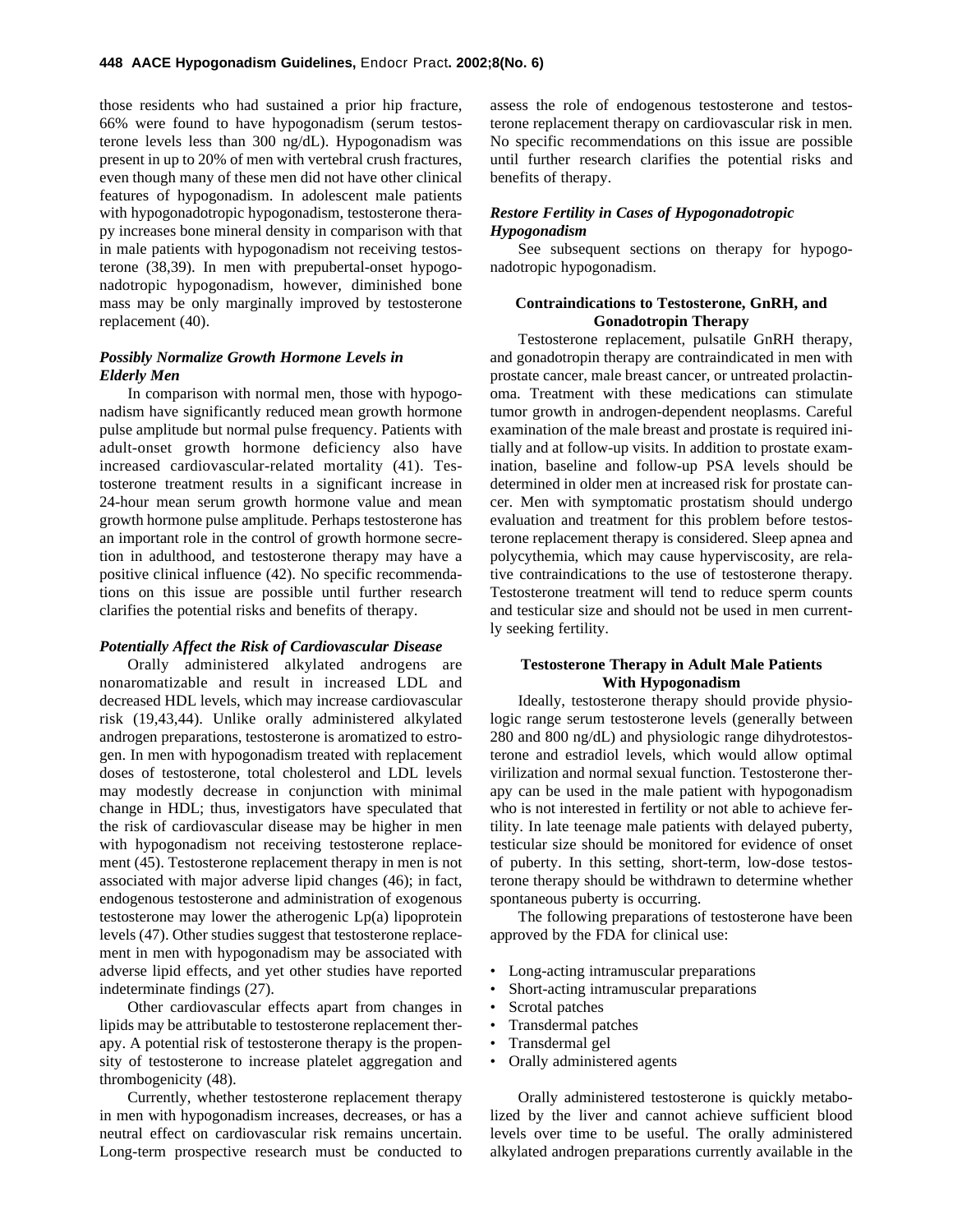those residents who had sustained a prior hip fracture, 66% were found to have hypogonadism (serum testosterone levels less than 300 ng/dL). Hypogonadism was present in up to 20% of men with vertebral crush fractures, even though many of these men did not have other clinical features of hypogonadism. In adolescent male patients with hypogonadotropic hypogonadism, testosterone therapy increases bone mineral density in comparison with that in male patients with hypogonadism not receiving testosterone (38,39). In men with prepubertal-onset hypogonadotropic hypogonadism, however, diminished bone mass may be only marginally improved by testosterone replacement (40).

## *Possibly Normalize Growth Hormone Levels in Elderly Men*

In comparison with normal men, those with hypogonadism have significantly reduced mean growth hormone pulse amplitude but normal pulse frequency. Patients with adult-onset growth hormone deficiency also have increased cardiovascular-related mortality (41). Testosterone treatment results in a significant increase in 24-hour mean serum growth hormone value and mean growth hormone pulse amplitude. Perhaps testosterone has an important role in the control of growth hormone secretion in adulthood, and testosterone therapy may have a positive clinical influence (42). No specific recommendations on this issue are possible until further research clarifies the potential risks and benefits of therapy.

## *Potentially Affect the Risk of Cardiovascular Disease*

Orally administered alkylated androgens are nonaromatizable and result in increased LDL and decreased HDL levels, which may increase cardiovascular risk (19,43,44). Unlike orally administered alkylated androgen preparations, testosterone is aromatized to estrogen. In men with hypogonadism treated with replacement doses of testosterone, total cholesterol and LDL levels may modestly decrease in conjunction with minimal change in HDL; thus, investigators have speculated that the risk of cardiovascular disease may be higher in men with hypogonadism not receiving testosterone replacement (45). Testosterone replacement therapy in men is not associated with major adverse lipid changes (46); in fact, endogenous testosterone and administration of exogenous testosterone may lower the atherogenic Lp(a) lipoprotein levels (47). Other studies suggest that testosterone replacement in men with hypogonadism may be associated with adverse lipid effects, and yet other studies have reported indeterminate findings (27).

Other cardiovascular effects apart from changes in lipids may be attributable to testosterone replacement therapy. A potential risk of testosterone therapy is the propensity of testosterone to increase platelet aggregation and thrombogenicity (48).

Currently, whether testosterone replacement therapy in men with hypogonadism increases, decreases, or has a neutral effect on cardiovascular risk remains uncertain. Long-term prospective research must be conducted to assess the role of endogenous testosterone and testosterone replacement therapy on cardiovascular risk in men. No specific recommendations on this issue are possible until further research clarifies the potential risks and benefits of therapy.

## *Restore Fertility in Cases of Hypogonadotropic Hypogonadism*

See subsequent sections on therapy for hypogonadotropic hypogonadism.

## **Contraindications to Testosterone, GnRH, and Gonadotropin Therapy**

Testosterone replacement, pulsatile GnRH therapy, and gonadotropin therapy are contraindicated in men with prostate cancer, male breast cancer, or untreated prolactinoma. Treatment with these medications can stimulate tumor growth in androgen-dependent neoplasms. Careful examination of the male breast and prostate is required initially and at follow-up visits. In addition to prostate examination, baseline and follow-up PSA levels should be determined in older men at increased risk for prostate cancer. Men with symptomatic prostatism should undergo evaluation and treatment for this problem before testosterone replacement therapy is considered. Sleep apnea and polycythemia, which may cause hyperviscosity, are relative contraindications to the use of testosterone therapy. Testosterone treatment will tend to reduce sperm counts and testicular size and should not be used in men currently seeking fertility.

## **Testosterone Therapy in Adult Male Patients With Hypogonadism**

Ideally, testosterone therapy should provide physiologic range serum testosterone levels (generally between 280 and 800 ng/dL) and physiologic range dihydrotestosterone and estradiol levels, which would allow optimal virilization and normal sexual function. Testosterone therapy can be used in the male patient with hypogonadism who is not interested in fertility or not able to achieve fertility. In late teenage male patients with delayed puberty, testicular size should be monitored for evidence of onset of puberty. In this setting, short-term, low-dose testosterone therapy should be withdrawn to determine whether spontaneous puberty is occurring.

The following preparations of testosterone have been approved by the FDA for clinical use:

- Long-acting intramuscular preparations
- Short-acting intramuscular preparations
- Scrotal patches
- Transdermal patches
- Transdermal gel
- Orally administered agents

Orally administered testosterone is quickly metabolized by the liver and cannot achieve sufficient blood levels over time to be useful. The orally administered alkylated androgen preparations currently available in the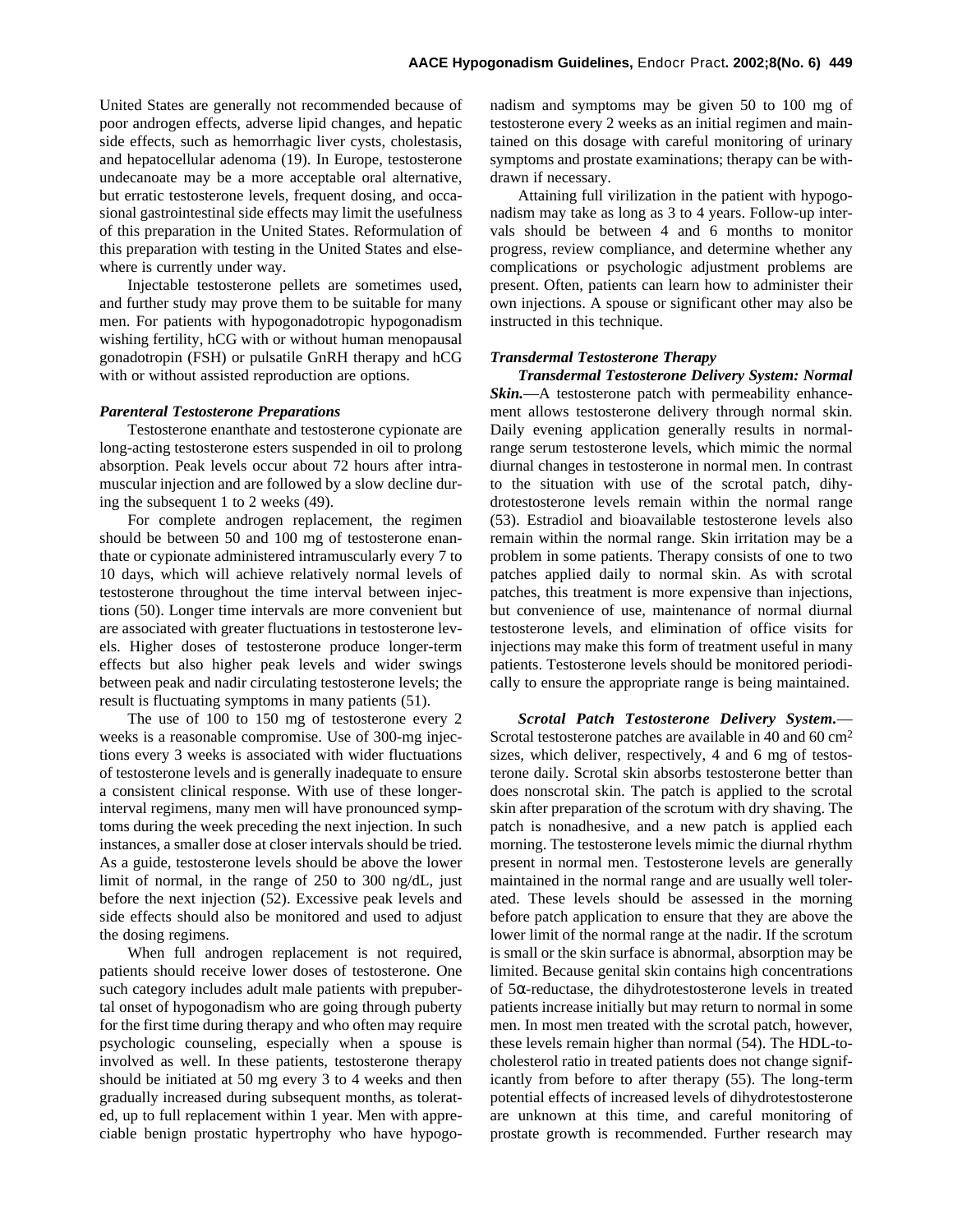United States are generally not recommended because of poor androgen effects, adverse lipid changes, and hepatic side effects, such as hemorrhagic liver cysts, cholestasis, and hepatocellular adenoma (19). In Europe, testosterone undecanoate may be a more acceptable oral alternative, but erratic testosterone levels, frequent dosing, and occasional gastrointestinal side effects may limit the usefulness of this preparation in the United States. Reformulation of this preparation with testing in the United States and elsewhere is currently under way.

Injectable testosterone pellets are sometimes used, and further study may prove them to be suitable for many men. For patients with hypogonadotropic hypogonadism wishing fertility, hCG with or without human menopausal gonadotropin (FSH) or pulsatile GnRH therapy and hCG with or without assisted reproduction are options.

#### *Parenteral Testosterone Preparations*

Testosterone enanthate and testosterone cypionate are long-acting testosterone esters suspended in oil to prolong absorption. Peak levels occur about 72 hours after intramuscular injection and are followed by a slow decline during the subsequent 1 to 2 weeks (49).

For complete androgen replacement, the regimen should be between 50 and 100 mg of testosterone enanthate or cypionate administered intramuscularly every 7 to 10 days, which will achieve relatively normal levels of testosterone throughout the time interval between injections (50). Longer time intervals are more convenient but are associated with greater fluctuations in testosterone levels. Higher doses of testosterone produce longer-term effects but also higher peak levels and wider swings between peak and nadir circulating testosterone levels; the result is fluctuating symptoms in many patients (51).

The use of 100 to 150 mg of testosterone every 2 weeks is a reasonable compromise. Use of 300-mg injections every 3 weeks is associated with wider fluctuations of testosterone levels and is generally inadequate to ensure a consistent clinical response. With use of these longerinterval regimens, many men will have pronounced symptoms during the week preceding the next injection. In such instances, a smaller dose at closer intervals should be tried. As a guide, testosterone levels should be above the lower limit of normal, in the range of 250 to 300 ng/dL, just before the next injection (52). Excessive peak levels and side effects should also be monitored and used to adjust the dosing regimens.

When full androgen replacement is not required, patients should receive lower doses of testosterone. One such category includes adult male patients with prepubertal onset of hypogonadism who are going through puberty for the first time during therapy and who often may require psychologic counseling, especially when a spouse is involved as well. In these patients, testosterone therapy should be initiated at 50 mg every 3 to 4 weeks and then gradually increased during subsequent months, as tolerated, up to full replacement within 1 year. Men with appreciable benign prostatic hypertrophy who have hypogonadism and symptoms may be given 50 to 100 mg of testosterone every 2 weeks as an initial regimen and maintained on this dosage with careful monitoring of urinary symptoms and prostate examinations; therapy can be withdrawn if necessary.

Attaining full virilization in the patient with hypogonadism may take as long as 3 to 4 years. Follow-up intervals should be between 4 and 6 months to monitor progress, review compliance, and determine whether any complications or psychologic adjustment problems are present. Often, patients can learn how to administer their own injections. A spouse or significant other may also be instructed in this technique.

## *Transdermal Testosterone Therapy*

*Transdermal Testosterone Delivery System: Normal Skin.*—A testosterone patch with permeability enhancement allows testosterone delivery through normal skin. Daily evening application generally results in normalrange serum testosterone levels, which mimic the normal diurnal changes in testosterone in normal men. In contrast to the situation with use of the scrotal patch, dihydrotestosterone levels remain within the normal range (53). Estradiol and bioavailable testosterone levels also remain within the normal range. Skin irritation may be a problem in some patients. Therapy consists of one to two patches applied daily to normal skin. As with scrotal patches, this treatment is more expensive than injections, but convenience of use, maintenance of normal diurnal testosterone levels, and elimination of office visits for injections may make this form of treatment useful in many patients. Testosterone levels should be monitored periodically to ensure the appropriate range is being maintained.

*Scrotal Patch Testosterone Delivery System.*— Scrotal testosterone patches are available in 40 and 60 cm2 sizes, which deliver, respectively, 4 and 6 mg of testosterone daily. Scrotal skin absorbs testosterone better than does nonscrotal skin. The patch is applied to the scrotal skin after preparation of the scrotum with dry shaving. The patch is nonadhesive, and a new patch is applied each morning. The testosterone levels mimic the diurnal rhythm present in normal men. Testosterone levels are generally maintained in the normal range and are usually well tolerated. These levels should be assessed in the morning before patch application to ensure that they are above the lower limit of the normal range at the nadir. If the scrotum is small or the skin surface is abnormal, absorption may be limited. Because genital skin contains high concentrations of 5α-reductase, the dihydrotestosterone levels in treated patients increase initially but may return to normal in some men. In most men treated with the scrotal patch, however, these levels remain higher than normal (54). The HDL-tocholesterol ratio in treated patients does not change significantly from before to after therapy (55). The long-term potential effects of increased levels of dihydrotestosterone are unknown at this time, and careful monitoring of prostate growth is recommended. Further research may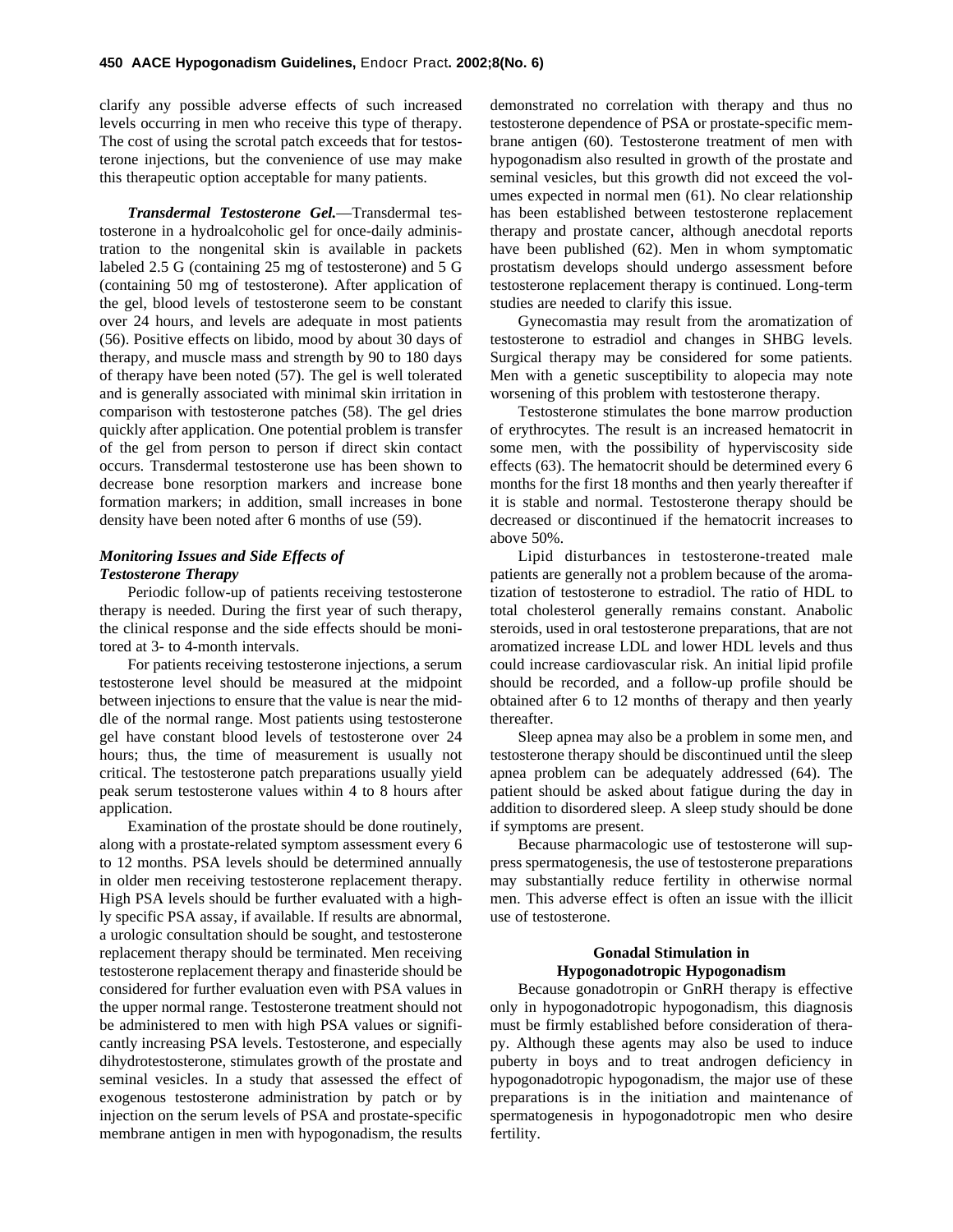clarify any possible adverse effects of such increased levels occurring in men who receive this type of therapy. The cost of using the scrotal patch exceeds that for testosterone injections, but the convenience of use may make this therapeutic option acceptable for many patients.

*Transdermal Testosterone Gel.*—Transdermal testosterone in a hydroalcoholic gel for once-daily administration to the nongenital skin is available in packets labeled 2.5 G (containing 25 mg of testosterone) and 5 G (containing 50 mg of testosterone). After application of the gel, blood levels of testosterone seem to be constant over 24 hours, and levels are adequate in most patients (56). Positive effects on libido, mood by about 30 days of therapy, and muscle mass and strength by 90 to 180 days of therapy have been noted (57). The gel is well tolerated and is generally associated with minimal skin irritation in comparison with testosterone patches (58). The gel dries quickly after application. One potential problem is transfer of the gel from person to person if direct skin contact occurs. Transdermal testosterone use has been shown to decrease bone resorption markers and increase bone formation markers; in addition, small increases in bone density have been noted after 6 months of use (59).

## *Monitoring Issues and Side Effects of Testosterone Therapy*

Periodic follow-up of patients receiving testosterone therapy is needed. During the first year of such therapy, the clinical response and the side effects should be monitored at 3- to 4-month intervals.

For patients receiving testosterone injections, a serum testosterone level should be measured at the midpoint between injections to ensure that the value is near the middle of the normal range. Most patients using testosterone gel have constant blood levels of testosterone over 24 hours; thus, the time of measurement is usually not critical. The testosterone patch preparations usually yield peak serum testosterone values within 4 to 8 hours after application.

Examination of the prostate should be done routinely, along with a prostate-related symptom assessment every 6 to 12 months. PSA levels should be determined annually in older men receiving testosterone replacement therapy. High PSA levels should be further evaluated with a highly specific PSA assay, if available. If results are abnormal, a urologic consultation should be sought, and testosterone replacement therapy should be terminated. Men receiving testosterone replacement therapy and finasteride should be considered for further evaluation even with PSA values in the upper normal range. Testosterone treatment should not be administered to men with high PSA values or significantly increasing PSA levels. Testosterone, and especially dihydrotestosterone, stimulates growth of the prostate and seminal vesicles. In a study that assessed the effect of exogenous testosterone administration by patch or by injection on the serum levels of PSA and prostate-specific membrane antigen in men with hypogonadism, the results

demonstrated no correlation with therapy and thus no testosterone dependence of PSA or prostate-specific membrane antigen (60). Testosterone treatment of men with hypogonadism also resulted in growth of the prostate and seminal vesicles, but this growth did not exceed the volumes expected in normal men (61). No clear relationship has been established between testosterone replacement therapy and prostate cancer, although anecdotal reports have been published (62). Men in whom symptomatic prostatism develops should undergo assessment before testosterone replacement therapy is continued. Long-term studies are needed to clarify this issue.

Gynecomastia may result from the aromatization of testosterone to estradiol and changes in SHBG levels. Surgical therapy may be considered for some patients. Men with a genetic susceptibility to alopecia may note worsening of this problem with testosterone therapy.

Testosterone stimulates the bone marrow production of erythrocytes. The result is an increased hematocrit in some men, with the possibility of hyperviscosity side effects (63). The hematocrit should be determined every 6 months for the first 18 months and then yearly thereafter if it is stable and normal. Testosterone therapy should be decreased or discontinued if the hematocrit increases to above 50%.

Lipid disturbances in testosterone-treated male patients are generally not a problem because of the aromatization of testosterone to estradiol. The ratio of HDL to total cholesterol generally remains constant. Anabolic steroids, used in oral testosterone preparations, that are not aromatized increase LDL and lower HDL levels and thus could increase cardiovascular risk. An initial lipid profile should be recorded, and a follow-up profile should be obtained after 6 to 12 months of therapy and then yearly thereafter.

Sleep apnea may also be a problem in some men, and testosterone therapy should be discontinued until the sleep apnea problem can be adequately addressed (64). The patient should be asked about fatigue during the day in addition to disordered sleep. A sleep study should be done if symptoms are present.

Because pharmacologic use of testosterone will suppress spermatogenesis, the use of testosterone preparations may substantially reduce fertility in otherwise normal men. This adverse effect is often an issue with the illicit use of testosterone.

## **Gonadal Stimulation in Hypogonadotropic Hypogonadism**

Because gonadotropin or GnRH therapy is effective only in hypogonadotropic hypogonadism, this diagnosis must be firmly established before consideration of therapy. Although these agents may also be used to induce puberty in boys and to treat androgen deficiency in hypogonadotropic hypogonadism, the major use of these preparations is in the initiation and maintenance of spermatogenesis in hypogonadotropic men who desire fertility.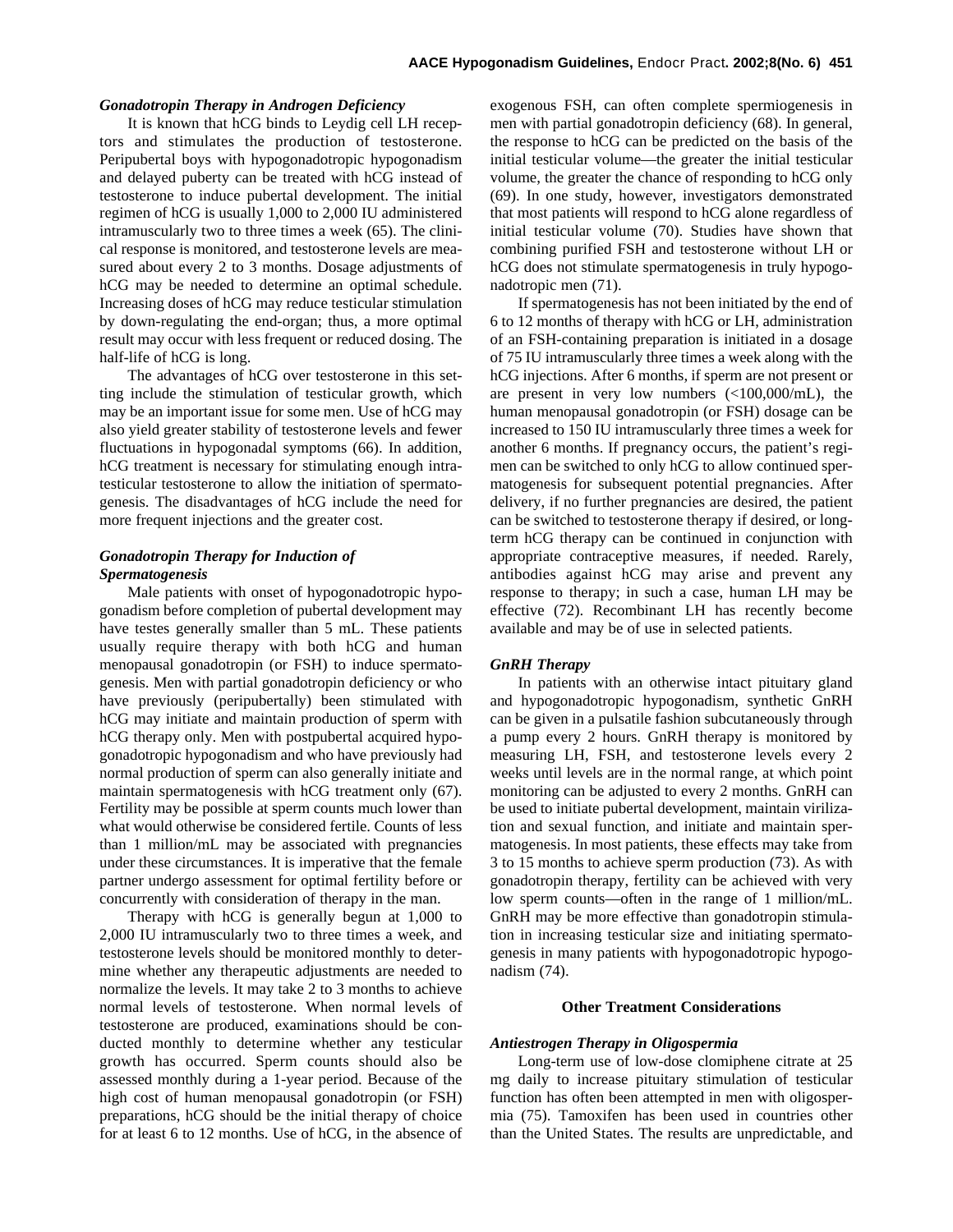#### *Gonadotropin Therapy in Androgen Deficiency*

It is known that hCG binds to Leydig cell LH receptors and stimulates the production of testosterone. Peripubertal boys with hypogonadotropic hypogonadism and delayed puberty can be treated with hCG instead of testosterone to induce pubertal development. The initial regimen of hCG is usually 1,000 to 2,000 IU administered intramuscularly two to three times a week (65). The clinical response is monitored, and testosterone levels are measured about every 2 to 3 months. Dosage adjustments of hCG may be needed to determine an optimal schedule. Increasing doses of hCG may reduce testicular stimulation by down-regulating the end-organ; thus, a more optimal result may occur with less frequent or reduced dosing. The half-life of hCG is long.

The advantages of hCG over testosterone in this setting include the stimulation of testicular growth, which may be an important issue for some men. Use of hCG may also yield greater stability of testosterone levels and fewer fluctuations in hypogonadal symptoms (66). In addition, hCG treatment is necessary for stimulating enough intratesticular testosterone to allow the initiation of spermatogenesis. The disadvantages of hCG include the need for more frequent injections and the greater cost.

## *Gonadotropin Therapy for Induction of Spermatogenesis*

Male patients with onset of hypogonadotropic hypogonadism before completion of pubertal development may have testes generally smaller than 5 mL. These patients usually require therapy with both hCG and human menopausal gonadotropin (or FSH) to induce spermatogenesis. Men with partial gonadotropin deficiency or who have previously (peripubertally) been stimulated with hCG may initiate and maintain production of sperm with hCG therapy only. Men with postpubertal acquired hypogonadotropic hypogonadism and who have previously had normal production of sperm can also generally initiate and maintain spermatogenesis with hCG treatment only (67). Fertility may be possible at sperm counts much lower than what would otherwise be considered fertile. Counts of less than 1 million/mL may be associated with pregnancies under these circumstances. It is imperative that the female partner undergo assessment for optimal fertility before or concurrently with consideration of therapy in the man.

Therapy with hCG is generally begun at 1,000 to 2,000 IU intramuscularly two to three times a week, and testosterone levels should be monitored monthly to determine whether any therapeutic adjustments are needed to normalize the levels. It may take 2 to 3 months to achieve normal levels of testosterone. When normal levels of testosterone are produced, examinations should be conducted monthly to determine whether any testicular growth has occurred. Sperm counts should also be assessed monthly during a 1-year period. Because of the high cost of human menopausal gonadotropin (or FSH) preparations, hCG should be the initial therapy of choice for at least 6 to 12 months. Use of hCG, in the absence of

exogenous FSH, can often complete spermiogenesis in men with partial gonadotropin deficiency (68). In general, the response to hCG can be predicted on the basis of the initial testicular volume—the greater the initial testicular volume, the greater the chance of responding to hCG only (69). In one study, however, investigators demonstrated that most patients will respond to hCG alone regardless of initial testicular volume (70). Studies have shown that combining purified FSH and testosterone without LH or hCG does not stimulate spermatogenesis in truly hypogonadotropic men (71).

If spermatogenesis has not been initiated by the end of 6 to 12 months of therapy with hCG or LH, administration of an FSH-containing preparation is initiated in a dosage of 75 IU intramuscularly three times a week along with the hCG injections. After 6 months, if sperm are not present or are present in very low numbers (<100,000/mL), the human menopausal gonadotropin (or FSH) dosage can be increased to 150 IU intramuscularly three times a week for another 6 months. If pregnancy occurs, the patient's regimen can be switched to only hCG to allow continued spermatogenesis for subsequent potential pregnancies. After delivery, if no further pregnancies are desired, the patient can be switched to testosterone therapy if desired, or longterm hCG therapy can be continued in conjunction with appropriate contraceptive measures, if needed. Rarely, antibodies against hCG may arise and prevent any response to therapy; in such a case, human LH may be effective (72). Recombinant LH has recently become available and may be of use in selected patients.

## *GnRH Therapy*

In patients with an otherwise intact pituitary gland and hypogonadotropic hypogonadism, synthetic GnRH can be given in a pulsatile fashion subcutaneously through a pump every 2 hours. GnRH therapy is monitored by measuring LH, FSH, and testosterone levels every 2 weeks until levels are in the normal range, at which point monitoring can be adjusted to every 2 months. GnRH can be used to initiate pubertal development, maintain virilization and sexual function, and initiate and maintain spermatogenesis. In most patients, these effects may take from 3 to 15 months to achieve sperm production (73). As with gonadotropin therapy, fertility can be achieved with very low sperm counts—often in the range of 1 million/mL. GnRH may be more effective than gonadotropin stimulation in increasing testicular size and initiating spermatogenesis in many patients with hypogonadotropic hypogonadism (74).

#### **Other Treatment Considerations**

#### *Antiestrogen Therapy in Oligospermia*

Long-term use of low-dose clomiphene citrate at 25 mg daily to increase pituitary stimulation of testicular function has often been attempted in men with oligospermia (75). Tamoxifen has been used in countries other than the United States. The results are unpredictable, and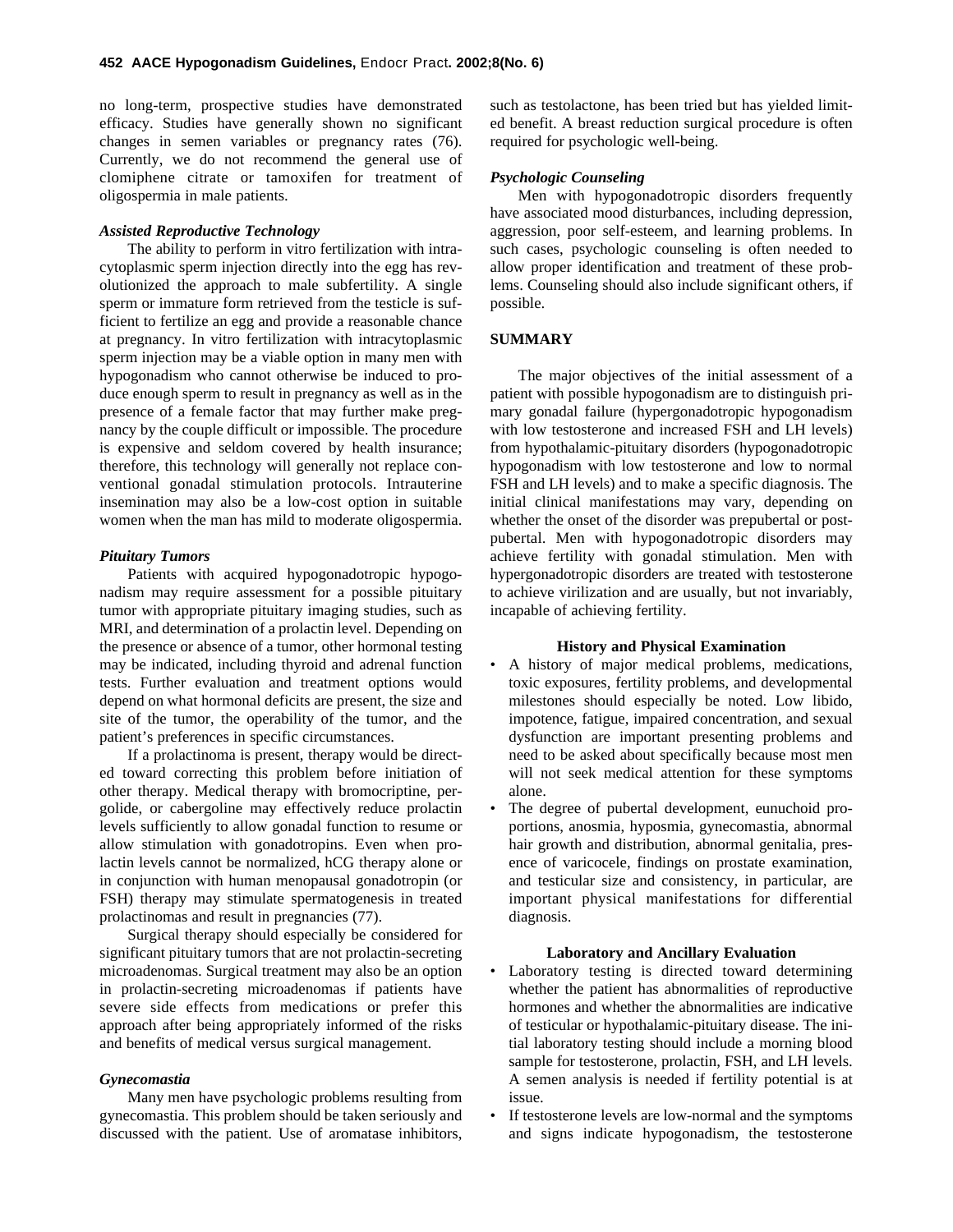no long-term, prospective studies have demonstrated efficacy. Studies have generally shown no significant changes in semen variables or pregnancy rates (76). Currently, we do not recommend the general use of clomiphene citrate or tamoxifen for treatment of oligospermia in male patients.

## *Assisted Reproductive Technology*

The ability to perform in vitro fertilization with intracytoplasmic sperm injection directly into the egg has revolutionized the approach to male subfertility. A single sperm or immature form retrieved from the testicle is sufficient to fertilize an egg and provide a reasonable chance at pregnancy. In vitro fertilization with intracytoplasmic sperm injection may be a viable option in many men with hypogonadism who cannot otherwise be induced to produce enough sperm to result in pregnancy as well as in the presence of a female factor that may further make pregnancy by the couple difficult or impossible. The procedure is expensive and seldom covered by health insurance; therefore, this technology will generally not replace conventional gonadal stimulation protocols. Intrauterine insemination may also be a low-cost option in suitable women when the man has mild to moderate oligospermia.

#### *Pituitary Tumors*

Patients with acquired hypogonadotropic hypogonadism may require assessment for a possible pituitary tumor with appropriate pituitary imaging studies, such as MRI, and determination of a prolactin level. Depending on the presence or absence of a tumor, other hormonal testing may be indicated, including thyroid and adrenal function tests. Further evaluation and treatment options would depend on what hormonal deficits are present, the size and site of the tumor, the operability of the tumor, and the patient's preferences in specific circumstances.

If a prolactinoma is present, therapy would be directed toward correcting this problem before initiation of other therapy. Medical therapy with bromocriptine, pergolide, or cabergoline may effectively reduce prolactin levels sufficiently to allow gonadal function to resume or allow stimulation with gonadotropins. Even when prolactin levels cannot be normalized, hCG therapy alone or in conjunction with human menopausal gonadotropin (or FSH) therapy may stimulate spermatogenesis in treated prolactinomas and result in pregnancies (77).

Surgical therapy should especially be considered for significant pituitary tumors that are not prolactin-secreting microadenomas. Surgical treatment may also be an option in prolactin-secreting microadenomas if patients have severe side effects from medications or prefer this approach after being appropriately informed of the risks and benefits of medical versus surgical management.

## *Gynecomastia*

Many men have psychologic problems resulting from gynecomastia. This problem should be taken seriously and discussed with the patient. Use of aromatase inhibitors, such as testolactone, has been tried but has yielded limited benefit. A breast reduction surgical procedure is often required for psychologic well-being.

## *Psychologic Counseling*

Men with hypogonadotropic disorders frequently have associated mood disturbances, including depression, aggression, poor self-esteem, and learning problems. In such cases, psychologic counseling is often needed to allow proper identification and treatment of these problems. Counseling should also include significant others, if possible.

## **SUMMARY**

The major objectives of the initial assessment of a patient with possible hypogonadism are to distinguish primary gonadal failure (hypergonadotropic hypogonadism with low testosterone and increased FSH and LH levels) from hypothalamic-pituitary disorders (hypogonadotropic hypogonadism with low testosterone and low to normal FSH and LH levels) and to make a specific diagnosis. The initial clinical manifestations may vary, depending on whether the onset of the disorder was prepubertal or postpubertal. Men with hypogonadotropic disorders may achieve fertility with gonadal stimulation. Men with hypergonadotropic disorders are treated with testosterone to achieve virilization and are usually, but not invariably, incapable of achieving fertility.

## **History and Physical Examination**

- A history of major medical problems, medications, toxic exposures, fertility problems, and developmental milestones should especially be noted. Low libido, impotence, fatigue, impaired concentration, and sexual dysfunction are important presenting problems and need to be asked about specifically because most men will not seek medical attention for these symptoms alone.
- The degree of pubertal development, eunuchoid proportions, anosmia, hyposmia, gynecomastia, abnormal hair growth and distribution, abnormal genitalia, presence of varicocele, findings on prostate examination, and testicular size and consistency, in particular, are important physical manifestations for differential diagnosis.

#### **Laboratory and Ancillary Evaluation**

- Laboratory testing is directed toward determining whether the patient has abnormalities of reproductive hormones and whether the abnormalities are indicative of testicular or hypothalamic-pituitary disease. The initial laboratory testing should include a morning blood sample for testosterone, prolactin, FSH, and LH levels. A semen analysis is needed if fertility potential is at issue.
- If testosterone levels are low-normal and the symptoms and signs indicate hypogonadism, the testosterone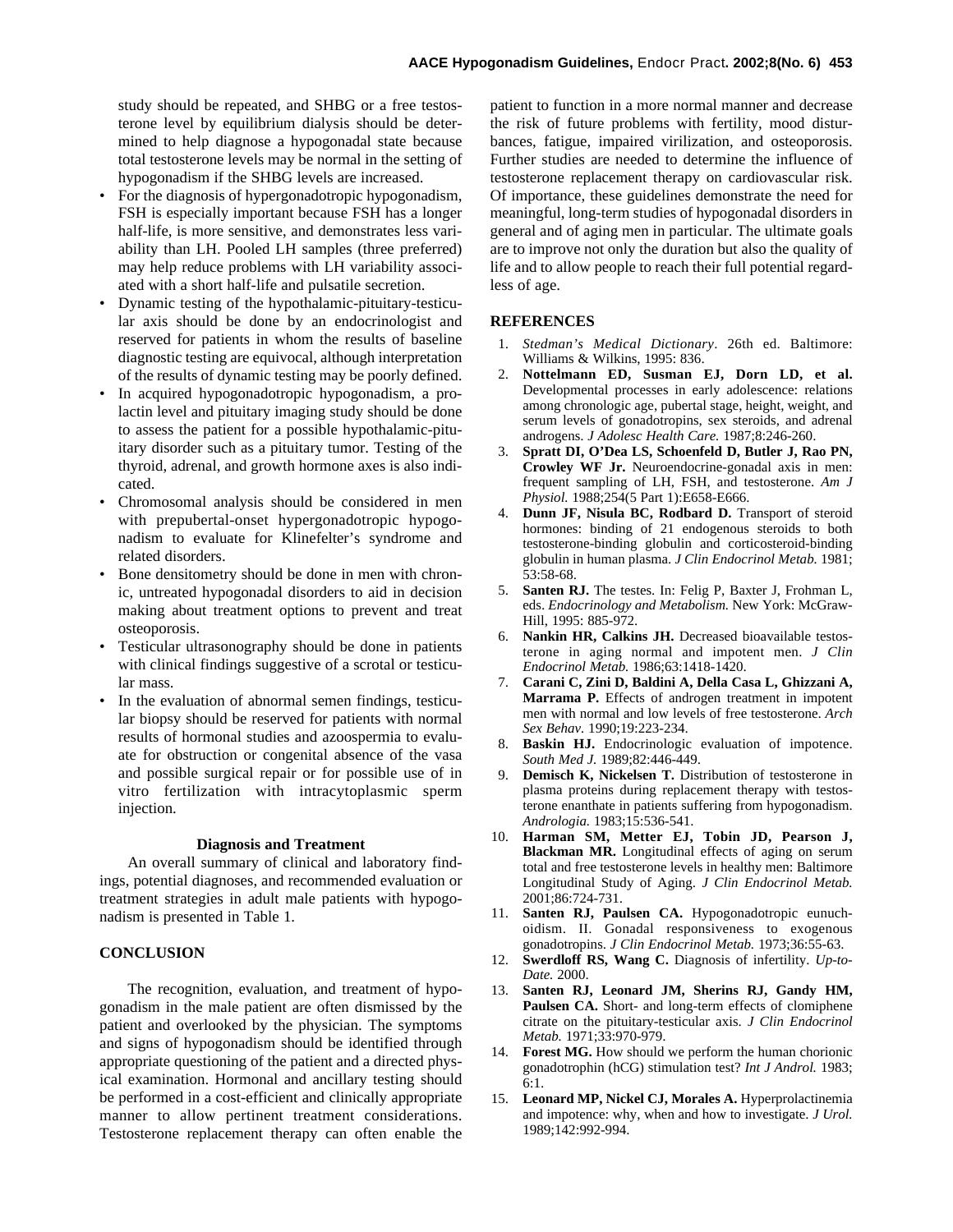study should be repeated, and SHBG or a free testosterone level by equilibrium dialysis should be determined to help diagnose a hypogonadal state because total testosterone levels may be normal in the setting of hypogonadism if the SHBG levels are increased.

- For the diagnosis of hypergonadotropic hypogonadism, FSH is especially important because FSH has a longer half-life, is more sensitive, and demonstrates less variability than LH. Pooled LH samples (three preferred) may help reduce problems with LH variability associated with a short half-life and pulsatile secretion.
- Dynamic testing of the hypothalamic-pituitary-testicular axis should be done by an endocrinologist and reserved for patients in whom the results of baseline diagnostic testing are equivocal, although interpretation of the results of dynamic testing may be poorly defined.
- In acquired hypogonadotropic hypogonadism, a prolactin level and pituitary imaging study should be done to assess the patient for a possible hypothalamic-pituitary disorder such as a pituitary tumor. Testing of the thyroid, adrenal, and growth hormone axes is also indicated.
- Chromosomal analysis should be considered in men with prepubertal-onset hypergonadotropic hypogonadism to evaluate for Klinefelter's syndrome and related disorders.
- Bone densitometry should be done in men with chronic, untreated hypogonadal disorders to aid in decision making about treatment options to prevent and treat osteoporosis.
- Testicular ultrasonography should be done in patients with clinical findings suggestive of a scrotal or testicular mass.
- In the evaluation of abnormal semen findings, testicular biopsy should be reserved for patients with normal results of hormonal studies and azoospermia to evaluate for obstruction or congenital absence of the vasa and possible surgical repair or for possible use of in vitro fertilization with intracytoplasmic sperm injection.

#### **Diagnosis and Treatment**

An overall summary of clinical and laboratory findings, potential diagnoses, and recommended evaluation or treatment strategies in adult male patients with hypogonadism is presented in Table 1.

## **CONCLUSION**

The recognition, evaluation, and treatment of hypogonadism in the male patient are often dismissed by the patient and overlooked by the physician. The symptoms and signs of hypogonadism should be identified through appropriate questioning of the patient and a directed physical examination. Hormonal and ancillary testing should be performed in a cost-efficient and clinically appropriate manner to allow pertinent treatment considerations. Testosterone replacement therapy can often enable the patient to function in a more normal manner and decrease the risk of future problems with fertility, mood disturbances, fatigue, impaired virilization, and osteoporosis. Further studies are needed to determine the influence of testosterone replacement therapy on cardiovascular risk. Of importance, these guidelines demonstrate the need for meaningful, long-term studies of hypogonadal disorders in general and of aging men in particular. The ultimate goals are to improve not only the duration but also the quality of life and to allow people to reach their full potential regardless of age.

## **REFERENCES**

- 1. *Stedman's Medical Dictionary*. 26th ed. Baltimore: Williams & Wilkins, 1995: 836.
- 2. **Nottelmann ED, Susman EJ, Dorn LD, et al.** Developmental processes in early adolescence: relations among chronologic age, pubertal stage, height, weight, and serum levels of gonadotropins, sex steroids, and adrenal androgens. *J Adolesc Health Care.* 1987;8:246-260.
- 3. **Spratt DI, O'Dea LS, Schoenfeld D, Butler J, Rao PN, Crowley WF Jr.** Neuroendocrine-gonadal axis in men: frequent sampling of LH, FSH, and testosterone. *Am J Physiol.* 1988;254(5 Part 1):E658-E666.
- 4. **Dunn JF, Nisula BC, Rodbard D.** Transport of steroid hormones: binding of 21 endogenous steroids to both testosterone-binding globulin and corticosteroid-binding globulin in human plasma. *J Clin Endocrinol Metab.* 1981; 53:58-68.
- 5. **Santen RJ.** The testes. In: Felig P, Baxter J, Frohman L, eds. *Endocrinology and Metabolism.* New York: McGraw-Hill, 1995: 885-972.
- 6. **Nankin HR, Calkins JH.** Decreased bioavailable testosterone in aging normal and impotent men. *J Clin Endocrinol Metab.* 1986;63:1418-1420.
- 7. **Carani C, Zini D, Baldini A, Della Casa L, Ghizzani A, Marrama P.** Effects of androgen treatment in impotent men with normal and low levels of free testosterone. *Arch Sex Behav.* 1990;19:223-234.
- 8. **Baskin HJ.** Endocrinologic evaluation of impotence. *South Med J.* 1989;82:446-449.
- 9. **Demisch K, Nickelsen T.** Distribution of testosterone in plasma proteins during replacement therapy with testosterone enanthate in patients suffering from hypogonadism. *Andrologia.* 1983;15:536-541.
- 10. **Harman SM, Metter EJ, Tobin JD, Pearson J, Blackman MR.** Longitudinal effects of aging on serum total and free testosterone levels in healthy men: Baltimore Longitudinal Study of Aging. *J Clin Endocrinol Metab.* 2001;86:724-731.
- 11. **Santen RJ, Paulsen CA.** Hypogonadotropic eunuchoidism. II. Gonadal responsiveness to exogenous gonadotropins. *J Clin Endocrinol Metab.* 1973;36:55-63.
- 12. **Swerdloff RS, Wang C.** Diagnosis of infertility. *Up-to-Date.* 2000.
- 13. **Santen RJ, Leonard JM, Sherins RJ, Gandy HM,** Paulsen CA. Short- and long-term effects of clomiphene citrate on the pituitary-testicular axis. *J Clin Endocrinol Metab.* 1971;33:970-979.
- 14. **Forest MG.** How should we perform the human chorionic gonadotrophin (hCG) stimulation test? *Int J Androl.* 1983; 6:1.
- 15. **Leonard MP, Nickel CJ, Morales A.** Hyperprolactinemia and impotence: why, when and how to investigate. *J Urol.* 1989;142:992-994.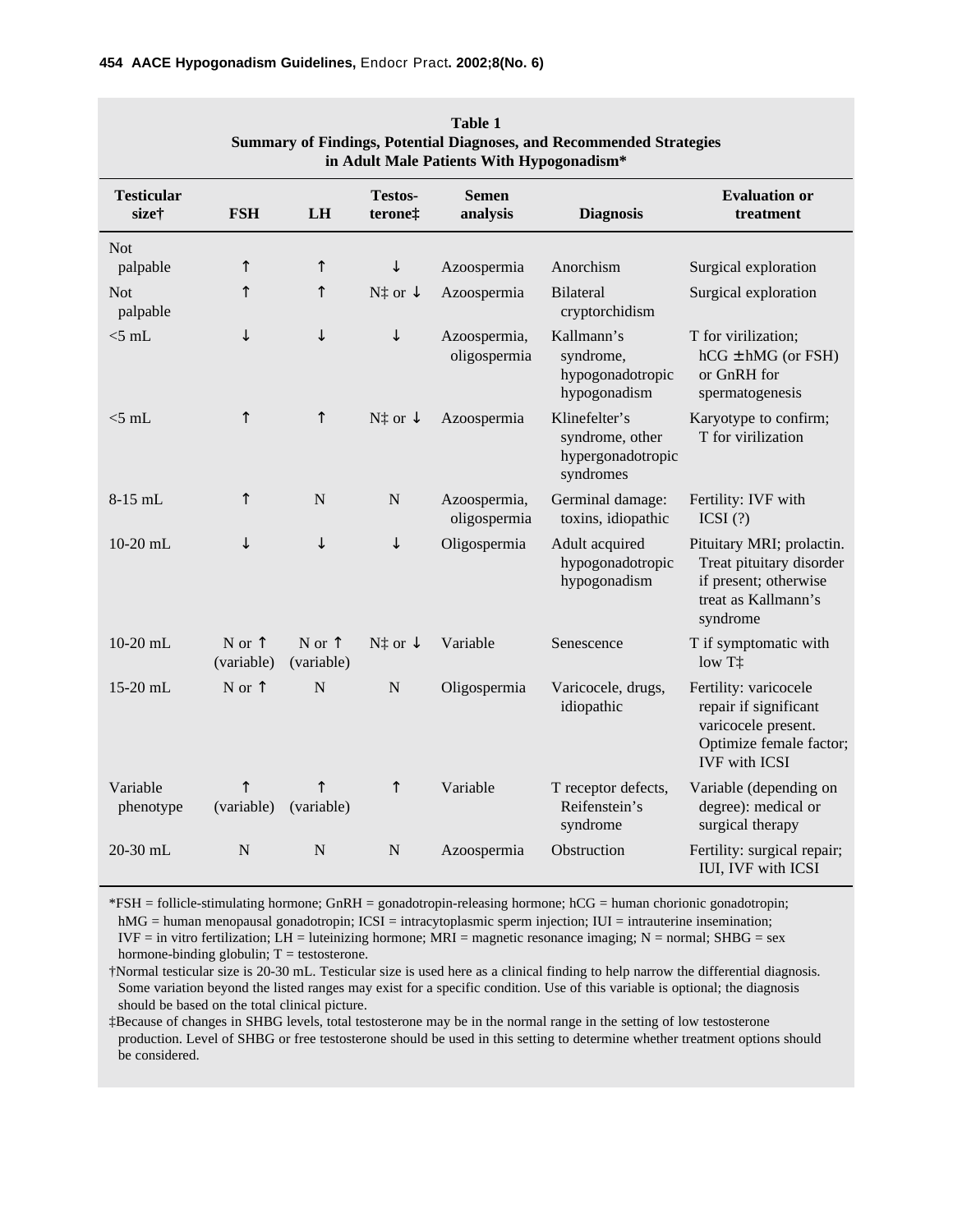| Table 1<br><b>Summary of Findings, Potential Diagnoses, and Recommended Strategies</b><br>in Adult Male Patients With Hypogonadism* |                               |                               |                           |                              |                                                                    |                                                                                                                                 |
|-------------------------------------------------------------------------------------------------------------------------------------|-------------------------------|-------------------------------|---------------------------|------------------------------|--------------------------------------------------------------------|---------------------------------------------------------------------------------------------------------------------------------|
| <b>Testicular</b><br>size†                                                                                                          | <b>FSH</b>                    | LH                            | <b>Testos-</b><br>terone‡ | <b>Semen</b><br>analysis     | <b>Diagnosis</b>                                                   | <b>Evaluation or</b><br>treatment                                                                                               |
| <b>Not</b><br>palpable                                                                                                              | ↑                             | $\uparrow$                    | ↓                         | Azoospermia                  | Anorchism                                                          | Surgical exploration                                                                                                            |
| <b>Not</b><br>palpable                                                                                                              | $\uparrow$                    | $\uparrow$                    | N‡ or $\downarrow$        | Azoospermia                  | <b>Bilateral</b><br>cryptorchidism                                 | Surgical exploration                                                                                                            |
| $<$ 5 mL                                                                                                                            | ↓                             | $\downarrow$                  | $\downarrow$              | Azoospermia,<br>oligospermia | Kallmann's<br>syndrome,<br>hypogonadotropic<br>hypogonadism        | T for virilization;<br>$hCG \pm hMG$ (or FSH)<br>or GnRH for<br>spermatogenesis                                                 |
| $<$ 5 mL                                                                                                                            | $\uparrow$                    | $\uparrow$                    | N‡ or $\downarrow$        | Azoospermia                  | Klinefelter's<br>syndrome, other<br>hypergonadotropic<br>syndromes | Karyotype to confirm;<br>T for virilization                                                                                     |
| 8-15 mL                                                                                                                             | $\uparrow$                    | N                             | $\mathbf N$               | Azoospermia,<br>oligospermia | Germinal damage:<br>toxins, idiopathic                             | Fertility: IVF with<br>ICSI(?)                                                                                                  |
| 10-20 mL                                                                                                                            | $\downarrow$                  | $\downarrow$                  | $\downarrow$              | Oligospermia                 | Adult acquired<br>hypogonadotropic<br>hypogonadism                 | Pituitary MRI; prolactin.<br>Treat pituitary disorder<br>if present; otherwise<br>treat as Kallmann's<br>syndrome               |
| $10-20$ mL                                                                                                                          | N or $\uparrow$<br>(variable) | N or $\uparrow$<br>(variable) | N‡ or $\downarrow$        | Variable                     | Senescence                                                         | T if symptomatic with<br>$low T$ :                                                                                              |
| 15-20 mL                                                                                                                            | N or $\uparrow$               | $\mathbf N$                   | $\overline{N}$            | Oligospermia                 | Varicocele, drugs,<br>idiopathic                                   | Fertility: varicocele<br>repair if significant<br>varicocele present.<br>Optimize female factor;<br><b>IVF</b> with <b>ICSI</b> |
| Variable<br>phenotype                                                                                                               | $\uparrow$<br>(variable)      | ↑<br>(variable)               | $\uparrow$                | Variable                     | T receptor defects,<br>Reifenstein's<br>syndrome                   | Variable (depending on<br>degree): medical or<br>surgical therapy                                                               |
| 20-30 mL                                                                                                                            | $\mathbf N$                   | N                             | $\mathbf N$               | Azoospermia                  | Obstruction                                                        | Fertility: surgical repair;<br>IUI, IVF with ICSI                                                                               |

| Table 1                                                                     |
|-----------------------------------------------------------------------------|
| <b>Summary of Findings, Potential Diagnoses, and Recommended Strategies</b> |
| in Adult Male Patients With Hynogonadism*                                   |

\*FSH = follicle-stimulating hormone; GnRH = gonadotropin-releasing hormone; hCG = human chorionic gonadotropin; hMG = human menopausal gonadotropin; ICSI = intracytoplasmic sperm injection; IUI = intrauterine insemination; IVF = in vitro fertilization; LH = luteinizing hormone; MRI = magnetic resonance imaging; N = normal; SHBG = sex hormone-binding globulin;  $T =$  testosterone.

†Normal testicular size is 20-30 mL. Testicular size is used here as a clinical finding to help narrow the differential diagnosis. Some variation beyond the listed ranges may exist for a specific condition. Use of this variable is optional; the diagnosis should be based on the total clinical picture.

‡Because of changes in SHBG levels, total testosterone may be in the normal range in the setting of low testosterone production. Level of SHBG or free testosterone should be used in this setting to determine whether treatment options should be considered.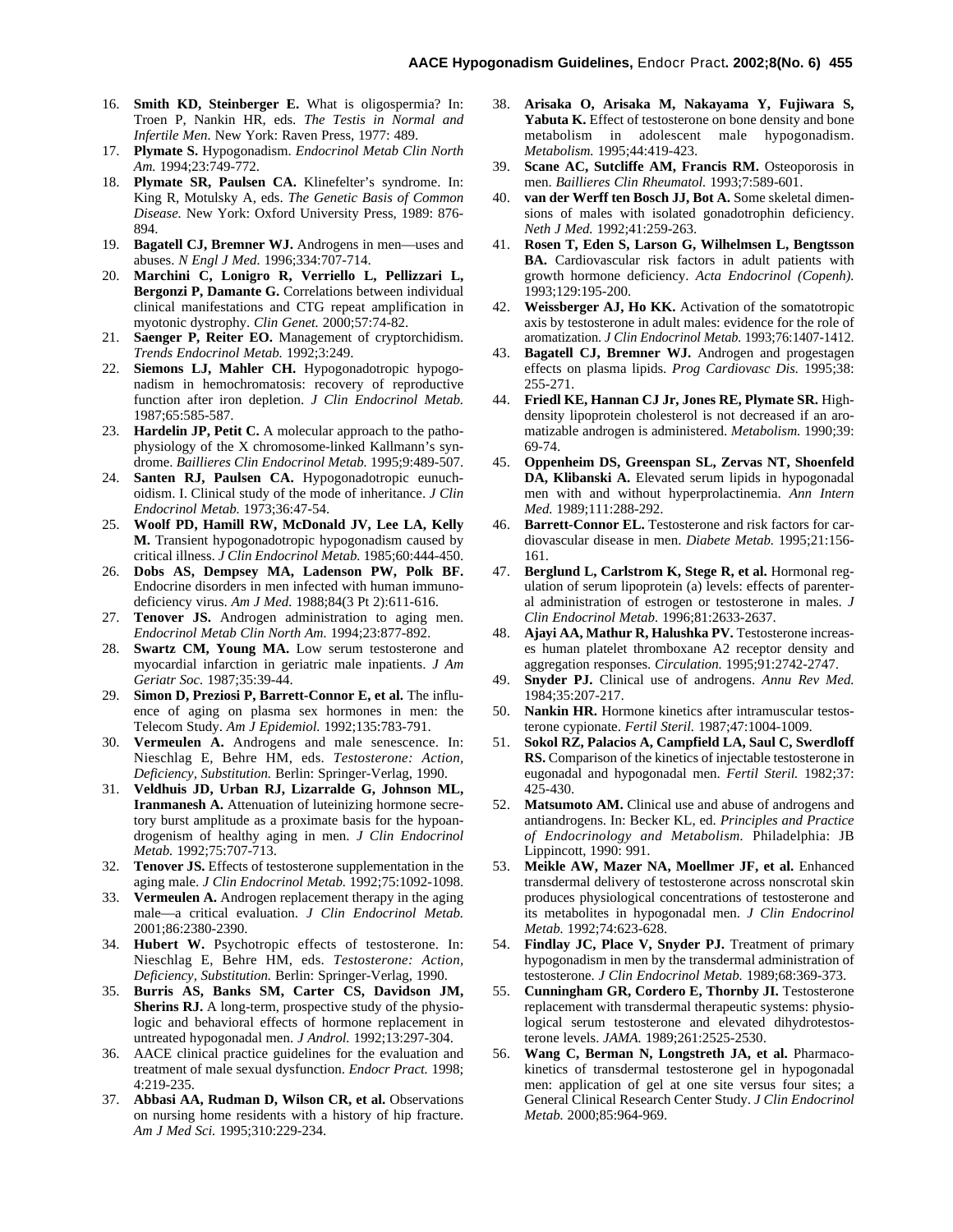- 16. **Smith KD, Steinberger E.** What is oligospermia? In: Troen P, Nankin HR, eds. *The Testis in Normal and Infertile Men.* New York: Raven Press, 1977: 489.
- 17. **Plymate S.** Hypogonadism. *Endocrinol Metab Clin North Am.* 1994;23:749-772.
- 18. **Plymate SR, Paulsen CA.** Klinefelter's syndrome. In: King R, Motulsky A, eds. *The Genetic Basis of Common Disease.* New York: Oxford University Press, 1989: 876- 894.
- 19. **Bagatell CJ, Bremner WJ.** Androgens in men—uses and abuses. *N Engl J Med.* 1996;334:707-714.
- 20. **Marchini C, Lonigro R, Verriello L, Pellizzari L, Bergonzi P, Damante G.** Correlations between individual clinical manifestations and CTG repeat amplification in myotonic dystrophy. *Clin Genet.* 2000;57:74-82.
- 21. **Saenger P, Reiter EO.** Management of cryptorchidism. *Trends Endocrinol Metab.* 1992;3:249.
- 22. **Siemons LJ, Mahler CH.** Hypogonadotropic hypogonadism in hemochromatosis: recovery of reproductive function after iron depletion. *J Clin Endocrinol Metab.* 1987;65:585-587.
- 23. **Hardelin JP, Petit C.** A molecular approach to the pathophysiology of the X chromosome-linked Kallmann's syndrome. *Baillieres Clin Endocrinol Metab.* 1995;9:489-507.
- 24. **Santen RJ, Paulsen CA.** Hypogonadotropic eunuchoidism. I. Clinical study of the mode of inheritance. *J Clin Endocrinol Metab.* 1973;36:47-54.
- 25. **Woolf PD, Hamill RW, McDonald JV, Lee LA, Kelly M.** Transient hypogonadotropic hypogonadism caused by critical illness. *J Clin Endocrinol Metab.* 1985;60:444-450.
- 26. **Dobs AS, Dempsey MA, Ladenson PW, Polk BF.** Endocrine disorders in men infected with human immunodeficiency virus. *Am J Med.* 1988;84(3 Pt 2):611-616.
- 27. **Tenover JS.** Androgen administration to aging men. *Endocrinol Metab Clin North Am.* 1994;23:877-892.
- 28. **Swartz CM, Young MA.** Low serum testosterone and myocardial infarction in geriatric male inpatients. *J Am Geriatr Soc.* 1987;35:39-44.
- 29. **Simon D, Preziosi P, Barrett-Connor E, et al.** The influence of aging on plasma sex hormones in men: the Telecom Study. *Am J Epidemiol.* 1992;135:783-791.
- 30. **Vermeulen A.** Androgens and male senescence. In: Nieschlag E, Behre HM, eds. *Testosterone: Action, Deficiency, Substitution.* Berlin: Springer-Verlag, 1990.
- 31. **Veldhuis JD, Urban RJ, Lizarralde G, Johnson ML, Iranmanesh A.** Attenuation of luteinizing hormone secretory burst amplitude as a proximate basis for the hypoandrogenism of healthy aging in men. *J Clin Endocrinol Metab.* 1992;75:707-713.
- 32. **Tenover JS.** Effects of testosterone supplementation in the aging male. *J Clin Endocrinol Metab.* 1992;75:1092-1098.
- 33. **Vermeulen A.** Androgen replacement therapy in the aging male—a critical evaluation. *J Clin Endocrinol Metab.* 2001;86:2380-2390.
- 34. **Hubert W.** Psychotropic effects of testosterone. In: Nieschlag E, Behre HM, eds. *Testosterone: Action, Deficiency, Substitution.* Berlin: Springer-Verlag, 1990.
- 35. **Burris AS, Banks SM, Carter CS, Davidson JM, Sherins RJ.** A long-term, prospective study of the physiologic and behavioral effects of hormone replacement in untreated hypogonadal men. *J Androl.* 1992;13:297-304.
- 36. AACE clinical practice guidelines for the evaluation and treatment of male sexual dysfunction. *Endocr Pract.* 1998; 4:219-235.
- 37. **Abbasi AA, Rudman D, Wilson CR, et al.** Observations on nursing home residents with a history of hip fracture. *Am J Med Sci.* 1995;310:229-234.
- 38. **Arisaka O, Arisaka M, Nakayama Y, Fujiwara S, Yabuta K.** Effect of testosterone on bone density and bone metabolism in adolescent male hypogonadism. *Metabolism.* 1995;44:419-423.
- 39. **Scane AC, Sutcliffe AM, Francis RM.** Osteoporosis in men. *Baillieres Clin Rheumatol.* 1993;7:589-601.
- 40. **van der Werff ten Bosch JJ, Bot A.** Some skeletal dimensions of males with isolated gonadotrophin deficiency. *Neth J Med.* 1992;41:259-263.
- 41. **Rosen T, Eden S, Larson G, Wilhelmsen L, Bengtsson BA.** Cardiovascular risk factors in adult patients with growth hormone deficiency. *Acta Endocrinol (Copenh).* 1993;129:195-200.
- 42. **Weissberger AJ, Ho KK.** Activation of the somatotropic axis by testosterone in adult males: evidence for the role of aromatization. *J Clin Endocrinol Metab.* 1993;76:1407-1412.
- 43. **Bagatell CJ, Bremner WJ.** Androgen and progestagen effects on plasma lipids. *Prog Cardiovasc Dis.* 1995;38: 255-271.
- 44. **Friedl KE, Hannan CJ Jr, Jones RE, Plymate SR.** Highdensity lipoprotein cholesterol is not decreased if an aromatizable androgen is administered. *Metabolism.* 1990;39: 69-74.
- 45. **Oppenheim DS, Greenspan SL, Zervas NT, Shoenfeld DA, Klibanski A.** Elevated serum lipids in hypogonadal men with and without hyperprolactinemia. *Ann Intern Med.* 1989;111:288-292.
- 46. **Barrett-Connor EL.** Testosterone and risk factors for cardiovascular disease in men. *Diabete Metab.* 1995;21:156- 161.
- 47. **Berglund L, Carlstrom K, Stege R, et al.** Hormonal regulation of serum lipoprotein (a) levels: effects of parenteral administration of estrogen or testosterone in males. *J Clin Endocrinol Metab.* 1996;81:2633-2637.
- 48. **Ajayi AA, Mathur R, Halushka PV.** Testosterone increases human platelet thromboxane A2 receptor density and aggregation responses. *Circulation.* 1995;91:2742-2747.
- 49. **Snyder PJ.** Clinical use of androgens. *Annu Rev Med.* 1984;35:207-217.
- 50. **Nankin HR.** Hormone kinetics after intramuscular testosterone cypionate. *Fertil Steril.* 1987;47:1004-1009.
- 51. **Sokol RZ, Palacios A, Campfield LA, Saul C, Swerdloff RS.** Comparison of the kinetics of injectable testosterone in eugonadal and hypogonadal men. *Fertil Steril.* 1982;37: 425-430.
- 52. **Matsumoto AM.** Clinical use and abuse of androgens and antiandrogens. In: Becker KL, ed. *Principles and Practice of Endocrinology and Metabolism.* Philadelphia: JB Lippincott, 1990: 991.
- 53. **Meikle AW, Mazer NA, Moellmer JF, et al.** Enhanced transdermal delivery of testosterone across nonscrotal skin produces physiological concentrations of testosterone and its metabolites in hypogonadal men. *J Clin Endocrinol Metab.* 1992;74:623-628.
- 54. **Findlay JC, Place V, Snyder PJ.** Treatment of primary hypogonadism in men by the transdermal administration of testosterone. *J Clin Endocrinol Metab.* 1989;68:369-373.
- 55. **Cunningham GR, Cordero E, Thornby JI.** Testosterone replacement with transdermal therapeutic systems: physiological serum testosterone and elevated dihydrotestosterone levels. *JAMA.* 1989;261:2525-2530.
- 56. **Wang C, Berman N, Longstreth JA, et al.** Pharmacokinetics of transdermal testosterone gel in hypogonadal men: application of gel at one site versus four sites; a General Clinical Research Center Study. *J Clin Endocrinol Metab.* 2000;85:964-969.